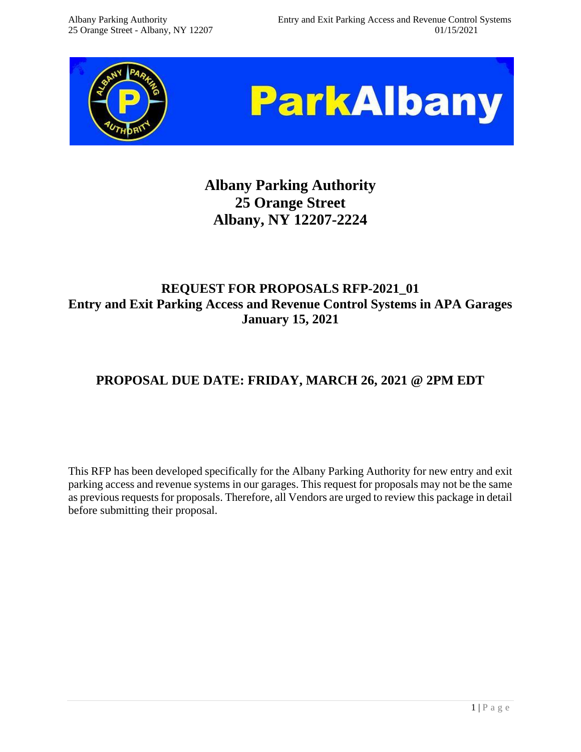



# **Albany Parking Authority 25 Orange Street Albany, NY 12207-2224**

# **REQUEST FOR PROPOSALS RFP-2021\_01 Entry and Exit Parking Access and Revenue Control Systems in APA Garages January 15, 2021**

# **PROPOSAL DUE DATE: FRIDAY, MARCH 26, 2021 @ 2PM EDT**

This RFP has been developed specifically for the Albany Parking Authority for new entry and exit parking access and revenue systems in our garages. This request for proposals may not be the same as previous requests for proposals. Therefore, all Vendors are urged to review this package in detail before submitting their proposal.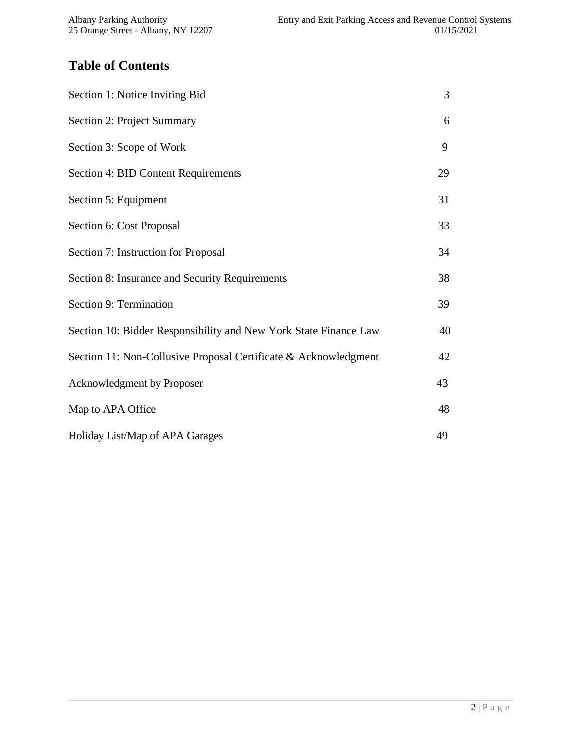# **Table of Contents**

| Section 1: Notice Inviting Bid                                   | 3  |
|------------------------------------------------------------------|----|
| Section 2: Project Summary                                       | 6  |
| Section 3: Scope of Work                                         | 9  |
| Section 4: BID Content Requirements                              | 29 |
| Section 5: Equipment                                             | 31 |
| Section 6: Cost Proposal                                         | 33 |
| Section 7: Instruction for Proposal                              | 34 |
| Section 8: Insurance and Security Requirements                   | 38 |
| Section 9: Termination                                           | 39 |
| Section 10: Bidder Responsibility and New York State Finance Law | 40 |
| Section 11: Non-Collusive Proposal Certificate & Acknowledgment  | 42 |
| Acknowledgment by Proposer                                       | 43 |
| Map to APA Office                                                | 48 |
| Holiday List/Map of APA Garages                                  | 49 |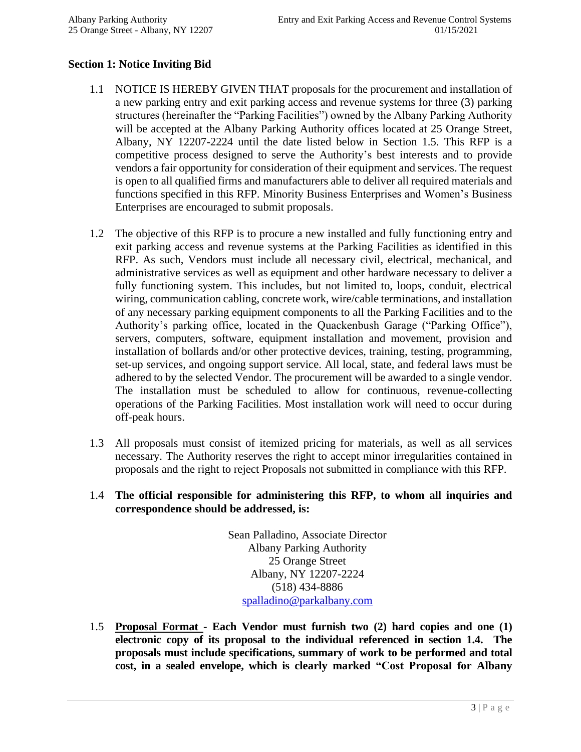#### **Section 1: Notice Inviting Bid**

- 1.1 NOTICE IS HEREBY GIVEN THAT proposals for the procurement and installation of a new parking entry and exit parking access and revenue systems for three (3) parking structures (hereinafter the "Parking Facilities") owned by the Albany Parking Authority will be accepted at the Albany Parking Authority offices located at 25 Orange Street, Albany, NY 12207-2224 until the date listed below in Section 1.5. This RFP is a competitive process designed to serve the Authority's best interests and to provide vendors a fair opportunity for consideration of their equipment and services. The request is open to all qualified firms and manufacturers able to deliver all required materials and functions specified in this RFP. Minority Business Enterprises and Women's Business Enterprises are encouraged to submit proposals.
- 1.2 The objective of this RFP is to procure a new installed and fully functioning entry and exit parking access and revenue systems at the Parking Facilities as identified in this RFP. As such, Vendors must include all necessary civil, electrical, mechanical, and administrative services as well as equipment and other hardware necessary to deliver a fully functioning system. This includes, but not limited to, loops, conduit, electrical wiring, communication cabling, concrete work, wire/cable terminations, and installation of any necessary parking equipment components to all the Parking Facilities and to the Authority's parking office, located in the Quackenbush Garage ("Parking Office"), servers, computers, software, equipment installation and movement, provision and installation of bollards and/or other protective devices, training, testing, programming, set-up services, and ongoing support service. All local, state, and federal laws must be adhered to by the selected Vendor. The procurement will be awarded to a single vendor. The installation must be scheduled to allow for continuous, revenue-collecting operations of the Parking Facilities. Most installation work will need to occur during off-peak hours.
- 1.3 All proposals must consist of itemized pricing for materials, as well as all services necessary. The Authority reserves the right to accept minor irregularities contained in proposals and the right to reject Proposals not submitted in compliance with this RFP.
- 1.4 **The official responsible for administering this RFP, to whom all inquiries and correspondence should be addressed, is:**

Sean Palladino, Associate Director Albany Parking Authority 25 Orange Street Albany, NY 12207-2224 (518) 434-8886 [spalladino@parkalbany.com](mailto:mpeter@parkalbany.com)

1.5 **Proposal Format - Each Vendor must furnish two (2) hard copies and one (1) electronic copy of its proposal to the individual referenced in section 1.4. The proposals must include specifications, summary of work to be performed and total cost, in a sealed envelope, which is clearly marked "Cost Proposal for Albany**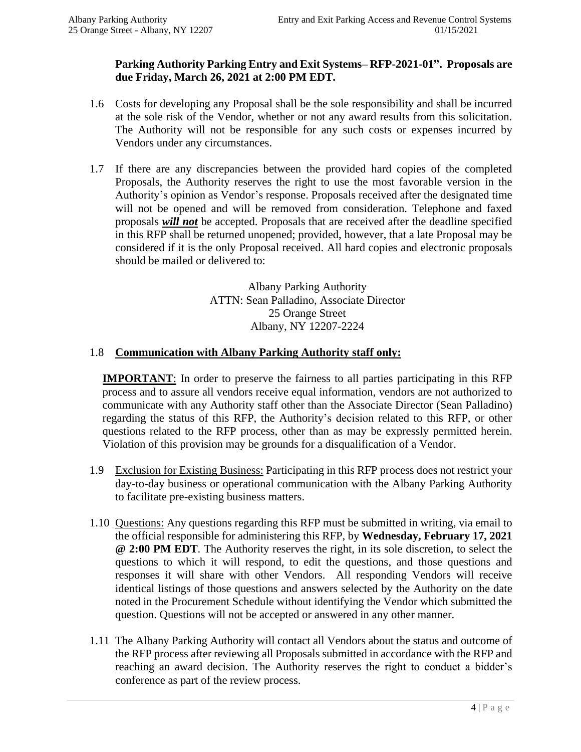#### **Parking Authority Parking Entry and Exit Systems– RFP-2021-01". Proposals are due Friday, March 26, 2021 at 2:00 PM EDT.**

- 1.6 Costs for developing any Proposal shall be the sole responsibility and shall be incurred at the sole risk of the Vendor, whether or not any award results from this solicitation. The Authority will not be responsible for any such costs or expenses incurred by Vendors under any circumstances.
- 1.7 If there are any discrepancies between the provided hard copies of the completed Proposals, the Authority reserves the right to use the most favorable version in the Authority's opinion as Vendor's response. Proposals received after the designated time will not be opened and will be removed from consideration. Telephone and faxed proposals *will not* be accepted. Proposals that are received after the deadline specified in this RFP shall be returned unopened; provided, however, that a late Proposal may be considered if it is the only Proposal received. All hard copies and electronic proposals should be mailed or delivered to:

Albany Parking Authority ATTN: Sean Palladino, Associate Director 25 Orange Street Albany, NY 12207-2224

#### 1.8 **Communication with Albany Parking Authority staff only:**

**IMPORTANT**: In order to preserve the fairness to all parties participating in this RFP process and to assure all vendors receive equal information, vendors are not authorized to communicate with any Authority staff other than the Associate Director (Sean Palladino) regarding the status of this RFP, the Authority's decision related to this RFP, or other questions related to the RFP process, other than as may be expressly permitted herein. Violation of this provision may be grounds for a disqualification of a Vendor.

- 1.9 Exclusion for Existing Business: Participating in this RFP process does not restrict your day-to-day business or operational communication with the Albany Parking Authority to facilitate pre-existing business matters.
- 1.10 Questions: Any questions regarding this RFP must be submitted in writing, via email to the official responsible for administering this RFP, by **Wednesday, February 17, 2021 @ 2:00 PM EDT**. The Authority reserves the right, in its sole discretion, to select the questions to which it will respond, to edit the questions, and those questions and responses it will share with other Vendors. All responding Vendors will receive identical listings of those questions and answers selected by the Authority on the date noted in the Procurement Schedule without identifying the Vendor which submitted the question. Questions will not be accepted or answered in any other manner.
- 1.11 The Albany Parking Authority will contact all Vendors about the status and outcome of the RFP process after reviewing all Proposals submitted in accordance with the RFP and reaching an award decision. The Authority reserves the right to conduct a bidder's conference as part of the review process.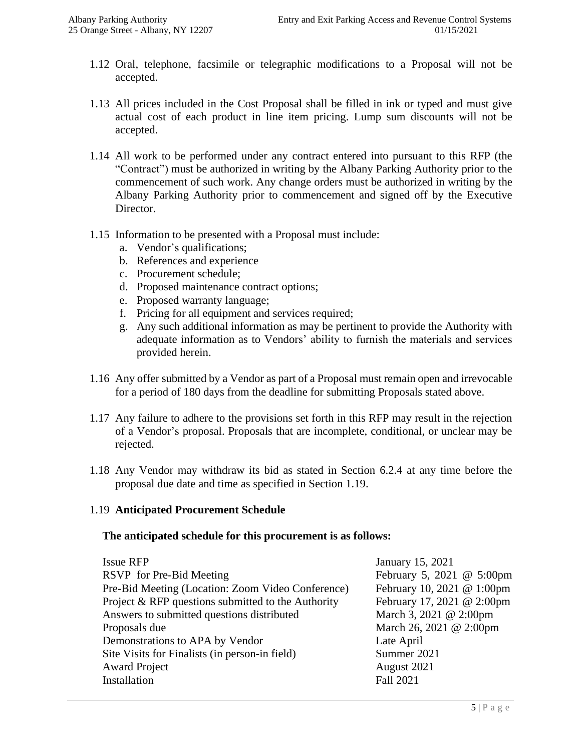- 1.12 Oral, telephone, facsimile or telegraphic modifications to a Proposal will not be accepted.
- 1.13 All prices included in the Cost Proposal shall be filled in ink or typed and must give actual cost of each product in line item pricing. Lump sum discounts will not be accepted.
- 1.14 All work to be performed under any contract entered into pursuant to this RFP (the "Contract") must be authorized in writing by the Albany Parking Authority prior to the commencement of such work. Any change orders must be authorized in writing by the Albany Parking Authority prior to commencement and signed off by the Executive Director.
- 1.15 Information to be presented with a Proposal must include:
	- a. Vendor's qualifications;
	- b. References and experience
	- c. Procurement schedule;
	- d. Proposed maintenance contract options;
	- e. Proposed warranty language;
	- f. Pricing for all equipment and services required;
	- g. Any such additional information as may be pertinent to provide the Authority with adequate information as to Vendors' ability to furnish the materials and services provided herein.
- 1.16 Any offer submitted by a Vendor as part of a Proposal must remain open and irrevocable for a period of 180 days from the deadline for submitting Proposals stated above.
- 1.17 Any failure to adhere to the provisions set forth in this RFP may result in the rejection of a Vendor's proposal. Proposals that are incomplete, conditional, or unclear may be rejected.
- 1.18 Any Vendor may withdraw its bid as stated in Section 6.2.4 at any time before the proposal due date and time as specified in Section 1.19.

#### 1.19 **Anticipated Procurement Schedule**

#### **The anticipated schedule for this procurement is as follows:**

| <b>Issue RFP</b>                                   | January 15, 2021           |
|----------------------------------------------------|----------------------------|
| RSVP for Pre-Bid Meeting                           | February 5, 2021 @ 5:00pm  |
| Pre-Bid Meeting (Location: Zoom Video Conference)  | February 10, 2021 @ 1:00pm |
| Project & RFP questions submitted to the Authority | February 17, 2021 @ 2:00pm |
| Answers to submitted questions distributed         | March 3, 2021 @ 2:00pm     |
| Proposals due                                      | March 26, 2021 @ 2:00pm    |
| Demonstrations to APA by Vendor                    | Late April                 |
| Site Visits for Finalists (in person-in field)     | Summer 2021                |
| <b>Award Project</b>                               | August 2021                |
| Installation                                       | <b>Fall 2021</b>           |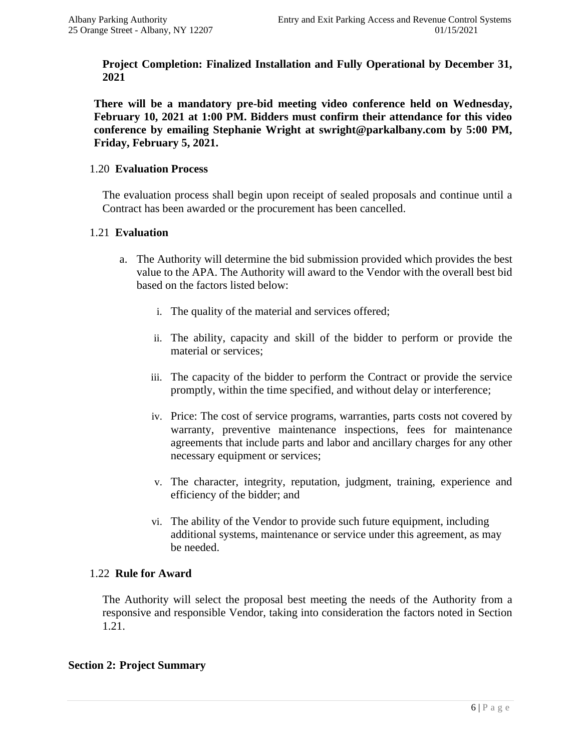**Project Completion: Finalized Installation and Fully Operational by December 31, 2021**

**There will be a mandatory pre-bid meeting video conference held on Wednesday, February 10, 2021 at 1:00 PM. Bidders must confirm their attendance for this video conference by emailing Stephanie Wright at swright@parkalbany.com by 5:00 PM, Friday, February 5, 2021.**

#### 1.20 **Evaluation Process**

The evaluation process shall begin upon receipt of sealed proposals and continue until a Contract has been awarded or the procurement has been cancelled.

#### 1.21 **Evaluation**

- a. The Authority will determine the bid submission provided which provides the best value to the APA. The Authority will award to the Vendor with the overall best bid based on the factors listed below:
	- i. The quality of the material and services offered;
	- ii. The ability, capacity and skill of the bidder to perform or provide the material or services;
	- iii. The capacity of the bidder to perform the Contract or provide the service promptly, within the time specified, and without delay or interference;
	- iv. Price: The cost of service programs, warranties, parts costs not covered by warranty, preventive maintenance inspections, fees for maintenance agreements that include parts and labor and ancillary charges for any other necessary equipment or services;
	- v. The character, integrity, reputation, judgment, training, experience and efficiency of the bidder; and
	- vi. The ability of the Vendor to provide such future equipment, including additional systems, maintenance or service under this agreement, as may be needed.

#### 1.22 **Rule for Award**

The Authority will select the proposal best meeting the needs of the Authority from a responsive and responsible Vendor, taking into consideration the factors noted in Section 1.21.

#### **Section 2: Project Summary**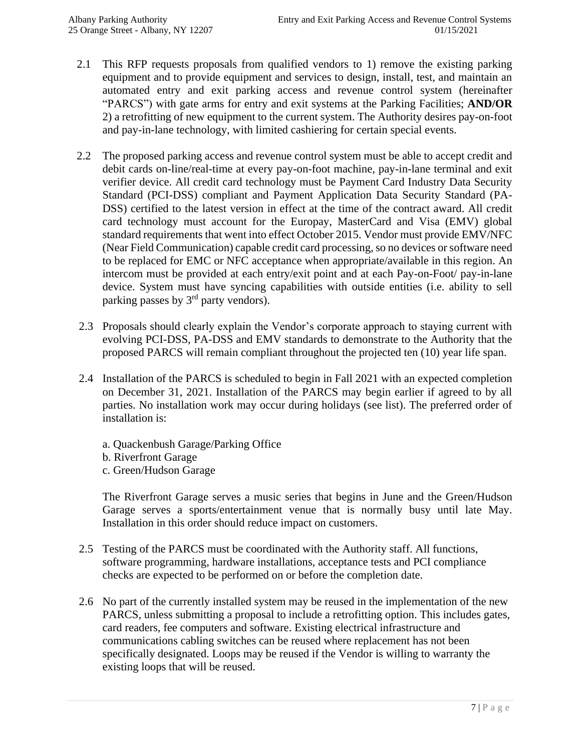- 2.1 This RFP requests proposals from qualified vendors to 1) remove the existing parking equipment and to provide equipment and services to design, install, test, and maintain an automated entry and exit parking access and revenue control system (hereinafter "PARCS") with gate arms for entry and exit systems at the Parking Facilities; **AND/OR** 2) a retrofitting of new equipment to the current system. The Authority desires pay-on-foot and pay-in-lane technology, with limited cashiering for certain special events.
- 2.2 The proposed parking access and revenue control system must be able to accept credit and debit cards on-line/real-time at every pay-on-foot machine, pay-in-lane terminal and exit verifier device. All credit card technology must be Payment Card Industry Data Security Standard (PCI-DSS) compliant and Payment Application Data Security Standard (PA-DSS) certified to the latest version in effect at the time of the contract award. All credit card technology must account for the Europay, MasterCard and Visa (EMV) global standard requirements that went into effect October 2015. Vendor must provide EMV/NFC (Near Field Communication) capable credit card processing, so no devices or software need to be replaced for EMC or NFC acceptance when appropriate/available in this region. An intercom must be provided at each entry/exit point and at each Pay-on-Foot/ pay-in-lane device. System must have syncing capabilities with outside entities (i.e. ability to sell parking passes by 3<sup>rd</sup> party vendors).
- 2.3 Proposals should clearly explain the Vendor's corporate approach to staying current with evolving PCI-DSS, PA-DSS and EMV standards to demonstrate to the Authority that the proposed PARCS will remain compliant throughout the projected ten (10) year life span.
- 2.4 Installation of the PARCS is scheduled to begin in Fall 2021 with an expected completion on December 31, 2021. Installation of the PARCS may begin earlier if agreed to by all parties. No installation work may occur during holidays (see list). The preferred order of installation is:
	- a. Quackenbush Garage/Parking Office
	- b. Riverfront Garage
	- c. Green/Hudson Garage

The Riverfront Garage serves a music series that begins in June and the Green/Hudson Garage serves a sports/entertainment venue that is normally busy until late May. Installation in this order should reduce impact on customers.

- 2.5 Testing of the PARCS must be coordinated with the Authority staff. All functions, software programming, hardware installations, acceptance tests and PCI compliance checks are expected to be performed on or before the completion date.
- 2.6 No part of the currently installed system may be reused in the implementation of the new PARCS, unless submitting a proposal to include a retrofitting option. This includes gates, card readers, fee computers and software. Existing electrical infrastructure and communications cabling switches can be reused where replacement has not been specifically designated. Loops may be reused if the Vendor is willing to warranty the existing loops that will be reused.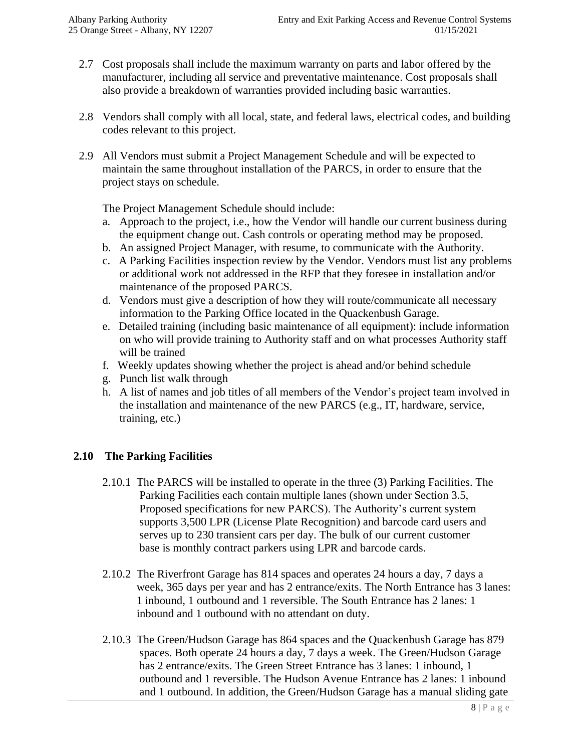- 2.7 Cost proposals shall include the maximum warranty on parts and labor offered by the manufacturer, including all service and preventative maintenance. Cost proposals shall also provide a breakdown of warranties provided including basic warranties.
- 2.8 Vendors shall comply with all local, state, and federal laws, electrical codes, and building codes relevant to this project.
- 2.9 All Vendors must submit a Project Management Schedule and will be expected to maintain the same throughout installation of the PARCS, in order to ensure that the project stays on schedule.

The Project Management Schedule should include:

- a. Approach to the project, i.e., how the Vendor will handle our current business during the equipment change out. Cash controls or operating method may be proposed.
- b. An assigned Project Manager, with resume, to communicate with the Authority.
- c. A Parking Facilities inspection review by the Vendor. Vendors must list any problems or additional work not addressed in the RFP that they foresee in installation and/or maintenance of the proposed PARCS.
- d. Vendors must give a description of how they will route/communicate all necessary information to the Parking Office located in the Quackenbush Garage.
- e. Detailed training (including basic maintenance of all equipment): include information on who will provide training to Authority staff and on what processes Authority staff will be trained
- f. Weekly updates showing whether the project is ahead and/or behind schedule
- g. Punch list walk through
- h. A list of names and job titles of all members of the Vendor's project team involved in the installation and maintenance of the new PARCS (e.g., IT, hardware, service, training, etc.)

#### **2.10 The Parking Facilities**

- 2.10.1 The PARCS will be installed to operate in the three (3) Parking Facilities. The Parking Facilities each contain multiple lanes (shown under Section 3.5, Proposed specifications for new PARCS). The Authority's current system supports 3,500 LPR (License Plate Recognition) and barcode card users and serves up to 230 transient cars per day. The bulk of our current customer base is monthly contract parkers using LPR and barcode cards.
- 2.10.2 The Riverfront Garage has 814 spaces and operates 24 hours a day, 7 days a week, 365 days per year and has 2 entrance/exits. The North Entrance has 3 lanes: 1 inbound, 1 outbound and 1 reversible. The South Entrance has 2 lanes: 1 inbound and 1 outbound with no attendant on duty.
- 2.10.3 The Green/Hudson Garage has 864 spaces and the Quackenbush Garage has 879 spaces. Both operate 24 hours a day, 7 days a week. The Green/Hudson Garage has 2 entrance/exits. The Green Street Entrance has 3 lanes: 1 inbound, 1 outbound and 1 reversible. The Hudson Avenue Entrance has 2 lanes: 1 inbound and 1 outbound. In addition, the Green/Hudson Garage has a manual sliding gate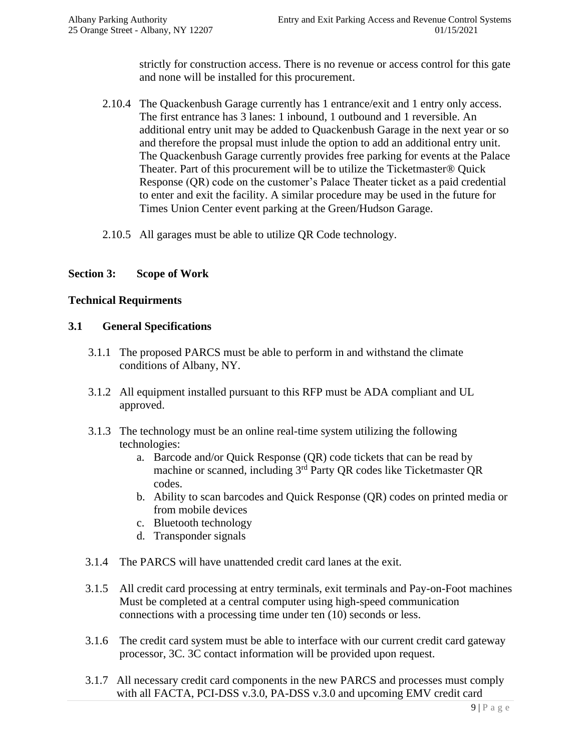strictly for construction access. There is no revenue or access control for this gate and none will be installed for this procurement.

- 2.10.4 The Quackenbush Garage currently has 1 entrance/exit and 1 entry only access. The first entrance has 3 lanes: 1 inbound, 1 outbound and 1 reversible. An additional entry unit may be added to Quackenbush Garage in the next year or so and therefore the propsal must inlude the option to add an additional entry unit. The Quackenbush Garage currently provides free parking for events at the Palace Theater. Part of this procurement will be to utilize the Ticketmaster® Quick Response (QR) code on the customer's Palace Theater ticket as a paid credential to enter and exit the facility. A similar procedure may be used in the future for Times Union Center event parking at the Green/Hudson Garage.
- 2.10.5 All garages must be able to utilize QR Code technology.

#### **Section 3: Scope of Work**

#### **Technical Requirments**

#### **3.1 General Specifications**

- 3.1.1 The proposed PARCS must be able to perform in and withstand the climate conditions of Albany, NY.
- 3.1.2 All equipment installed pursuant to this RFP must be ADA compliant and UL approved.
- 3.1.3The technology must be an online real-time system utilizing the following technologies:
	- a. Barcode and/or Quick Response (QR) code tickets that can be read by machine or scanned, including 3rd Party QR codes like Ticketmaster QR codes.
	- b. Ability to scan barcodes and Quick Response (QR) codes on printed media or from mobile devices
	- c. Bluetooth technology
	- d. Transponder signals
- 3.1.4 The PARCS will have unattended credit card lanes at the exit.
- 3.1.5 All credit card processing at entry terminals, exit terminals and Pay-on-Foot machines Must be completed at a central computer using high-speed communication connections with a processing time under ten (10) seconds or less.
- 3.1.6 The credit card system must be able to interface with our current credit card gateway processor, 3C. 3C contact information will be provided upon request.
- 3.1.7 All necessary credit card components in the new PARCS and processes must comply with all FACTA, PCI-DSS v.3.0, PA-DSS v.3.0 and upcoming EMV credit card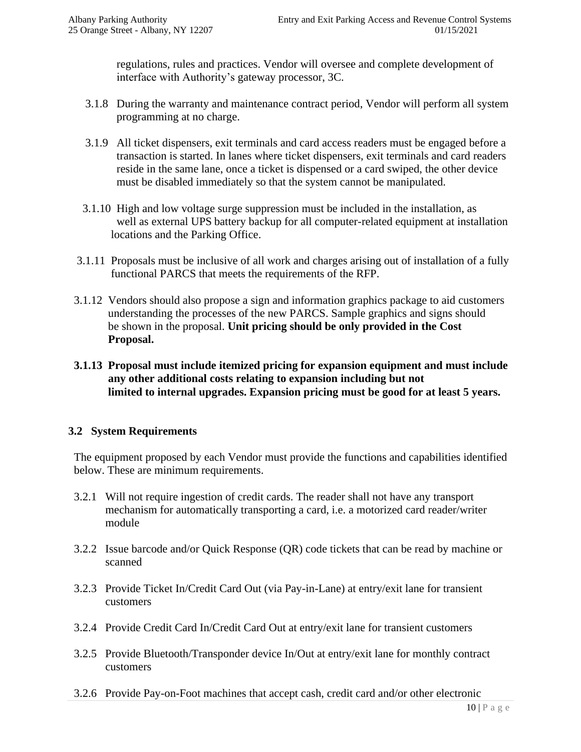regulations, rules and practices. Vendor will oversee and complete development of interface with Authority's gateway processor, 3C.

- 3.1.8 During the warranty and maintenance contract period, Vendor will perform all system programming at no charge.
- 3.1.9 All ticket dispensers, exit terminals and card access readers must be engaged before a transaction is started. In lanes where ticket dispensers, exit terminals and card readers reside in the same lane, once a ticket is dispensed or a card swiped, the other device must be disabled immediately so that the system cannot be manipulated.
- 3.1.10 High and low voltage surge suppression must be included in the installation, as well as external UPS battery backup for all computer-related equipment at installation locations and the Parking Office.
- 3.1.11 Proposals must be inclusive of all work and charges arising out of installation of a fully functional PARCS that meets the requirements of the RFP.
- 3.1.12 Vendors should also propose a sign and information graphics package to aid customers understanding the processes of the new PARCS. Sample graphics and signs should be shown in the proposal. **Unit pricing should be only provided in the Cost Proposal.**
- **3.1.13 Proposal must include itemized pricing for expansion equipment and must include any other additional costs relating to expansion including but not limited to internal upgrades. Expansion pricing must be good for at least 5 years.**

#### **3.2 System Requirements**

The equipment proposed by each Vendor must provide the functions and capabilities identified below. These are minimum requirements.

- 3.2.1 Will not require ingestion of credit cards. The reader shall not have any transport mechanism for automatically transporting a card, i.e. a motorized card reader/writer module
- 3.2.2 Issue barcode and/or Quick Response (QR) code tickets that can be read by machine or scanned
- 3.2.3 Provide Ticket In/Credit Card Out (via Pay-in-Lane) at entry/exit lane for transient customers
- 3.2.4 Provide Credit Card In/Credit Card Out at entry/exit lane for transient customers
- 3.2.5 Provide Bluetooth/Transponder device In/Out at entry/exit lane for monthly contract customers
- 3.2.6 Provide Pay-on-Foot machines that accept cash, credit card and/or other electronic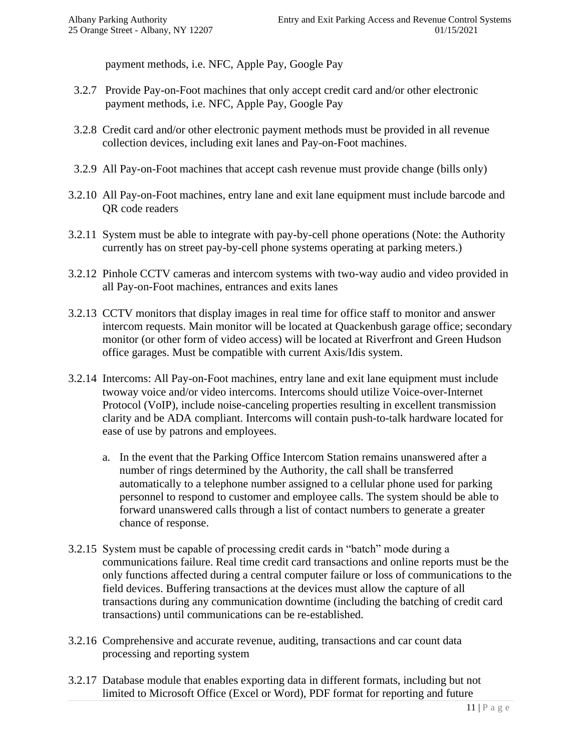payment methods, i.e. NFC, Apple Pay, Google Pay

- 3.2.7 Provide Pay-on-Foot machines that only accept credit card and/or other electronic payment methods, i.e. NFC, Apple Pay, Google Pay
- 3.2.8 Credit card and/or other electronic payment methods must be provided in all revenue collection devices, including exit lanes and Pay-on-Foot machines.
- 3.2.9 All Pay-on-Foot machines that accept cash revenue must provide change (bills only)
- 3.2.10 All Pay-on-Foot machines, entry lane and exit lane equipment must include barcode and QR code readers
- 3.2.11 System must be able to integrate with pay-by-cell phone operations (Note: the Authority currently has on street pay-by-cell phone systems operating at parking meters.)
- 3.2.12 Pinhole CCTV cameras and intercom systems with two-way audio and video provided in all Pay-on-Foot machines, entrances and exits lanes
- 3.2.13 CCTV monitors that display images in real time for office staff to monitor and answer intercom requests. Main monitor will be located at Quackenbush garage office; secondary monitor (or other form of video access) will be located at Riverfront and Green Hudson office garages. Must be compatible with current Axis/Idis system.
- 3.2.14 Intercoms: All Pay-on-Foot machines, entry lane and exit lane equipment must include twoway voice and/or video intercoms. Intercoms should utilize Voice-over-Internet Protocol (VoIP), include noise-canceling properties resulting in excellent transmission clarity and be ADA compliant. Intercoms will contain push-to-talk hardware located for ease of use by patrons and employees.
	- a. In the event that the Parking Office Intercom Station remains unanswered after a number of rings determined by the Authority, the call shall be transferred automatically to a telephone number assigned to a cellular phone used for parking personnel to respond to customer and employee calls. The system should be able to forward unanswered calls through a list of contact numbers to generate a greater chance of response.
- 3.2.15 System must be capable of processing credit cards in "batch" mode during a communications failure. Real time credit card transactions and online reports must be the only functions affected during a central computer failure or loss of communications to the field devices. Buffering transactions at the devices must allow the capture of all transactions during any communication downtime (including the batching of credit card transactions) until communications can be re-established.
- 3.2.16 Comprehensive and accurate revenue, auditing, transactions and car count data processing and reporting system
- 3.2.17 Database module that enables exporting data in different formats, including but not limited to Microsoft Office (Excel or Word), PDF format for reporting and future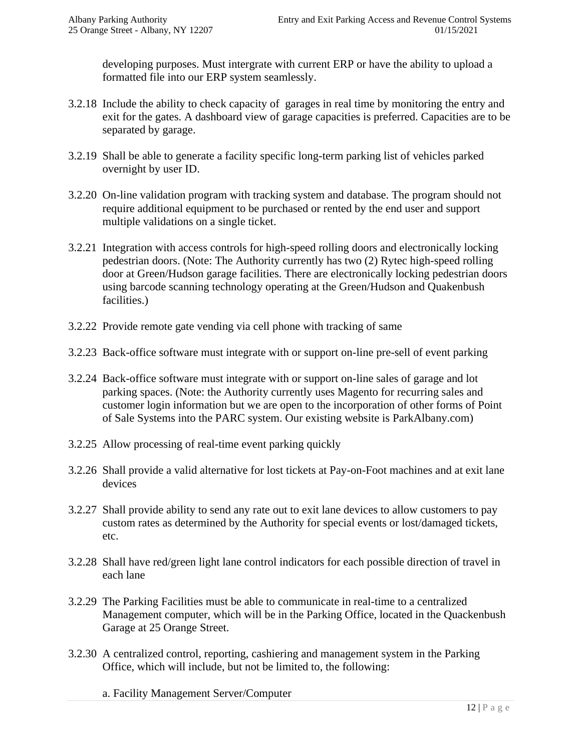developing purposes. Must intergrate with current ERP or have the ability to upload a formatted file into our ERP system seamlessly.

- 3.2.18 Include the ability to check capacity of garages in real time by monitoring the entry and exit for the gates. A dashboard view of garage capacities is preferred. Capacities are to be separated by garage.
- 3.2.19 Shall be able to generate a facility specific long-term parking list of vehicles parked overnight by user ID.
- 3.2.20 On-line validation program with tracking system and database. The program should not require additional equipment to be purchased or rented by the end user and support multiple validations on a single ticket.
- 3.2.21 Integration with access controls for high-speed rolling doors and electronically locking pedestrian doors. (Note: The Authority currently has two (2) Rytec high-speed rolling door at Green/Hudson garage facilities. There are electronically locking pedestrian doors using barcode scanning technology operating at the Green/Hudson and Quakenbush facilities.)
- 3.2.22 Provide remote gate vending via cell phone with tracking of same
- 3.2.23 Back-office software must integrate with or support on-line pre-sell of event parking
- 3.2.24 Back-office software must integrate with or support on-line sales of garage and lot parking spaces. (Note: the Authority currently uses Magento for recurring sales and customer login information but we are open to the incorporation of other forms of Point of Sale Systems into the PARC system. Our existing website is ParkAlbany.com)
- 3.2.25 Allow processing of real-time event parking quickly
- 3.2.26 Shall provide a valid alternative for lost tickets at Pay-on-Foot machines and at exit lane devices
- 3.2.27 Shall provide ability to send any rate out to exit lane devices to allow customers to pay custom rates as determined by the Authority for special events or lost/damaged tickets, etc.
- 3.2.28 Shall have red/green light lane control indicators for each possible direction of travel in each lane
- 3.2.29 The Parking Facilities must be able to communicate in real-time to a centralized Management computer, which will be in the Parking Office, located in the Quackenbush Garage at 25 Orange Street.
- 3.2.30 A centralized control, reporting, cashiering and management system in the Parking Office, which will include, but not be limited to, the following:
	- a. Facility Management Server/Computer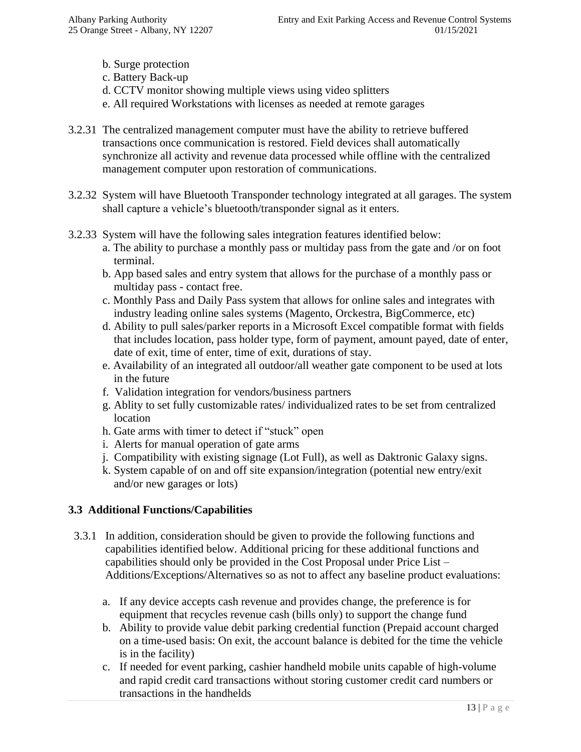- b. Surge protection
- c. Battery Back-up
- d. CCTV monitor showing multiple views using video splitters
- e. All required Workstations with licenses as needed at remote garages
- 3.2.31 The centralized management computer must have the ability to retrieve buffered transactions once communication is restored. Field devices shall automatically synchronize all activity and revenue data processed while offline with the centralized management computer upon restoration of communications.
- 3.2.32 System will have Bluetooth Transponder technology integrated at all garages. The system shall capture a vehicle's bluetooth/transponder signal as it enters.
- 3.2.33 System will have the following sales integration features identified below:
	- a. The ability to purchase a monthly pass or multiday pass from the gate and /or on foot terminal.
	- b. App based sales and entry system that allows for the purchase of a monthly pass or multiday pass - contact free.
	- c. Monthly Pass and Daily Pass system that allows for online sales and integrates with industry leading online sales systems (Magento, Orckestra, BigCommerce, etc)
	- d. Ability to pull sales/parker reports in a Microsoft Excel compatible format with fields that includes location, pass holder type, form of payment, amount payed, date of enter, date of exit, time of enter, time of exit, durations of stay.
	- e. Availability of an integrated all outdoor/all weather gate component to be used at lots in the future
	- f. Validation integration for vendors/business partners
	- g. Ablity to set fully customizable rates/ individualized rates to be set from centralized location
	- h. Gate arms with timer to detect if "stuck" open
	- i. Alerts for manual operation of gate arms
	- j. Compatibility with existing signage (Lot Full), as well as Daktronic Galaxy signs.
	- k. System capable of on and off site expansion/integration (potential new entry/exit and/or new garages or lots)

#### **3.3 Additional Functions/Capabilities**

- 3.3.1 In addition, consideration should be given to provide the following functions and capabilities identified below. Additional pricing for these additional functions and capabilities should only be provided in the Cost Proposal under Price List – Additions/Exceptions/Alternatives so as not to affect any baseline product evaluations:
	- a. If any device accepts cash revenue and provides change, the preference is for equipment that recycles revenue cash (bills only) to support the change fund
	- b. Ability to provide value debit parking credential function (Prepaid account charged on a time-used basis: On exit, the account balance is debited for the time the vehicle is in the facility)
	- c. If needed for event parking, cashier handheld mobile units capable of high-volume and rapid credit card transactions without storing customer credit card numbers or transactions in the handhelds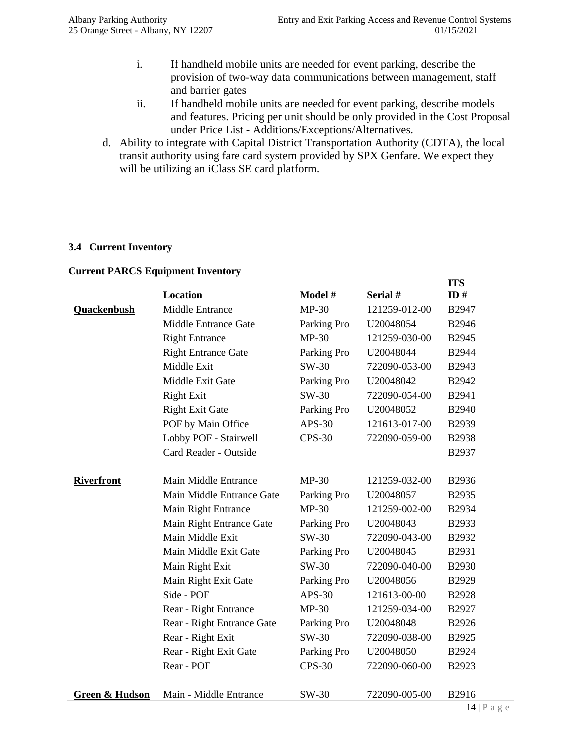- i. If handheld mobile units are needed for event parking, describe the provision of two-way data communications between management, staff and barrier gates
- ii. If handheld mobile units are needed for event parking, describe models and features. Pricing per unit should be only provided in the Cost Proposal under Price List - Additions/Exceptions/Alternatives.
- d. Ability to integrate with Capital District Transportation Authority (CDTA), the local transit authority using fare card system provided by SPX Genfare. We expect they will be utilizing an iClass SE card platform.

#### **3.4 Current Inventory**

## **Location Model # Serial # ITS ID # Quackenbush** Middle Entrance MP-30 121259-012-00 B2947 Middle Entrance Gate Parking Pro U20048054 B2946 Right Entrance MP-30 121259-030-00 B2945 Right Entrance Gate Parking Pro U20048044 B2944 Middle Exit SW-30 722090-053-00 B2943 Middle Exit Gate Parking Pro U20048042 B2942 Right Exit SW-30 722090-054-00 B2941 Right Exit Gate Parking Pro U20048052 B2940 POF by Main Office APS-30 121613-017-00 B2939 Lobby POF - Stairwell CPS-30 722090-059-00 B2938 Card Reader - Outside B2937 **Riverfront** Main Middle Entrance MP-30 121259-032-00 B2936 Main Middle Entrance Gate Parking Pro U20048057 B2935 Main Right Entrance MP-30 121259-002-00 B2934 Main Right Entrance Gate Parking Pro U20048043 B2933 Main Middle Exit SW-30 722090-043-00 B2932 Main Middle Exit Gate Parking Pro U20048045 B2931 Main Right Exit SW-30 722090-040-00 B2930 Main Right Exit Gate Parking Pro U20048056 B2929 Side - POF APS-30 121613-00-00 B2928 Rear - Right Entrance MP-30 121259-034-00 B2927 Rear - Right Entrance Gate Parking Pro U20048048 B2926 Rear - Right Exit SW-30 722090-038-00 B2925 Rear - Right Exit Gate Parking Pro U20048050 B2924 Rear - POF CPS-30 722090-060-00 B2923 **Green & Hudson** Main - Middle Entrance SW-30 722090-005-00 B2916

#### **Current PARCS Equipment Inventory**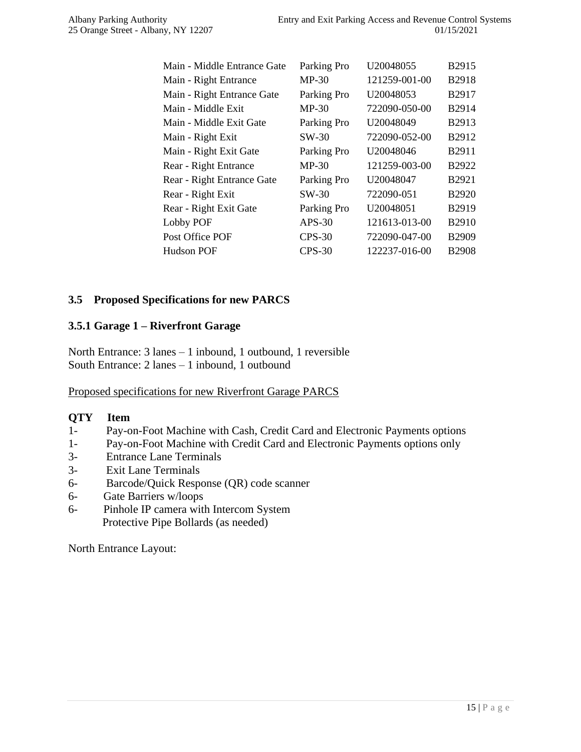| Main - Middle Entrance Gate | Parking Pro | U <sub>20048055</sub> | B <sub>2915</sub> |
|-----------------------------|-------------|-----------------------|-------------------|
| Main - Right Entrance       | $MP-30$     | 121259-001-00         | B2918             |
| Main - Right Entrance Gate  | Parking Pro | U20048053             | B2917             |
| Main - Middle Exit          | $MP-30$     | 722090-050-00         | B2914             |
| Main - Middle Exit Gate     | Parking Pro | U20048049             | B2913             |
| Main - Right Exit           | SW-30       | 722090-052-00         | B2912             |
| Main - Right Exit Gate      | Parking Pro | U20048046             | B2911             |
| Rear - Right Entrance       | $MP-30$     | 121259-003-00         | B2922             |
| Rear - Right Entrance Gate  | Parking Pro | U20048047             | B2921             |
| Rear - Right Exit           | SW-30       | 722090-051            | <b>B2920</b>      |
| Rear - Right Exit Gate      | Parking Pro | U20048051             | B2919             |
| Lobby POF                   | $APS-30$    | 121613-013-00         | <b>B2910</b>      |
| Post Office POF             | $CPS-30$    | 722090-047-00         | B2909             |
| Hudson POF                  | $CPS-30$    | 122237-016-00         | <b>B2908</b>      |

#### **3.5 Proposed Specifications for new PARCS**

#### **3.5.1 Garage 1 – Riverfront Garage**

North Entrance: 3 lanes – 1 inbound, 1 outbound, 1 reversible South Entrance: 2 lanes – 1 inbound, 1 outbound

Proposed specifications for new Riverfront Garage PARCS

#### **QTY Item**

- 1- Pay-on-Foot Machine with Cash, Credit Card and Electronic Payments options
- 1- Pay-on-Foot Machine with Credit Card and Electronic Payments options only
- 3- Entrance Lane Terminals
- 3- Exit Lane Terminals
- 6- Barcode/Quick Response (QR) code scanner
- 6- Gate Barriers w/loops
- 6- Pinhole IP camera with Intercom System Protective Pipe Bollards (as needed)

North Entrance Layout: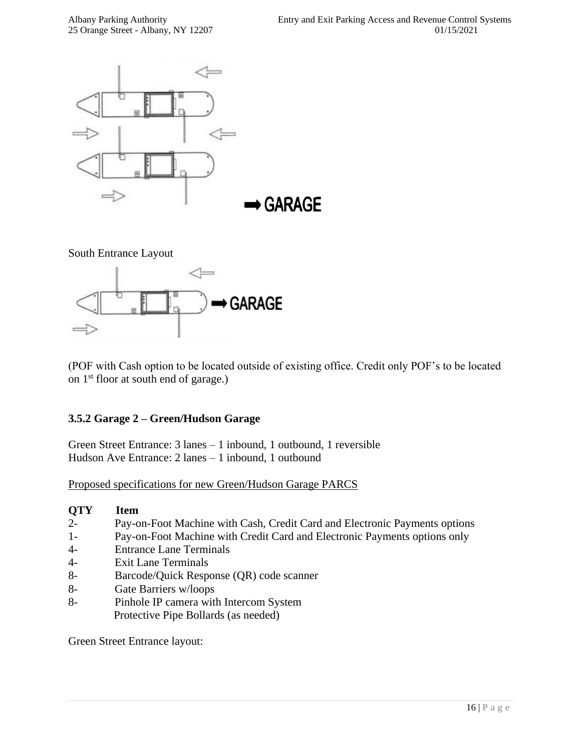

South Entrance Layout



(POF with Cash option to be located outside of existing office. Credit only POF's to be located on 1st floor at south end of garage.)

#### **3.5.2 Garage 2 – Green/Hudson Garage**

Green Street Entrance: 3 lanes – 1 inbound, 1 outbound, 1 reversible Hudson Ave Entrance: 2 lanes – 1 inbound, 1 outbound

Proposed specifications for new Green/Hudson Garage PARCS

#### **QTY Item**

- 2- Pay-on-Foot Machine with Cash, Credit Card and Electronic Payments options
- 1- Pay-on-Foot Machine with Credit Card and Electronic Payments options only
- 4- Entrance Lane Terminals
- 4- Exit Lane Terminals
- 8- Barcode/Quick Response (QR) code scanner
- 8- Gate Barriers w/loops
- 8- Pinhole IP camera with Intercom System Protective Pipe Bollards (as needed)

Green Street Entrance layout: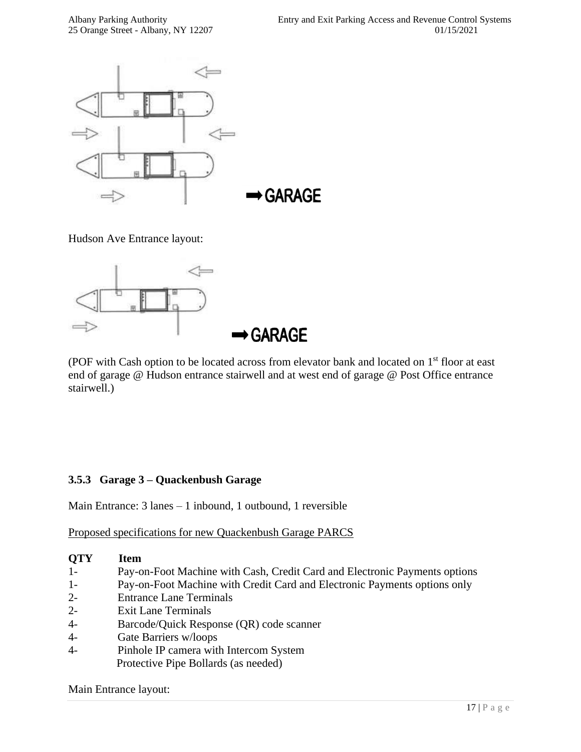

Hudson Ave Entrance layout:



(POF with Cash option to be located across from elevator bank and located on 1<sup>st</sup> floor at east end of garage @ Hudson entrance stairwell and at west end of garage @ Post Office entrance stairwell.)

#### **3.5.3 Garage 3 – Quackenbush Garage**

Main Entrance: 3 lanes – 1 inbound, 1 outbound, 1 reversible

Proposed specifications for new Quackenbush Garage PARCS

#### **QTY Item**

- 1- Pay-on-Foot Machine with Cash, Credit Card and Electronic Payments options
- 1- Pay-on-Foot Machine with Credit Card and Electronic Payments options only
- 2- Entrance Lane Terminals
- 2- Exit Lane Terminals
- 4- Barcode/Quick Response (QR) code scanner
- 4- Gate Barriers w/loops
- 4- Pinhole IP camera with Intercom System Protective Pipe Bollards (as needed)

Main Entrance layout: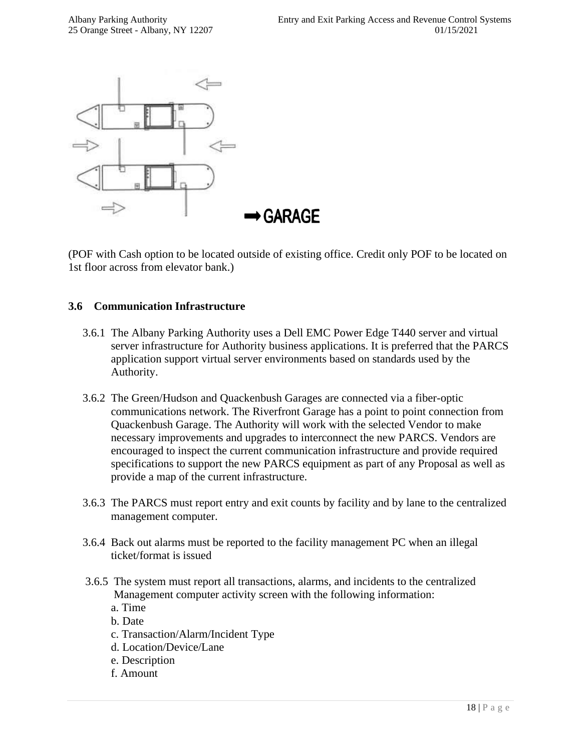

(POF with Cash option to be located outside of existing office. Credit only POF to be located on 1st floor across from elevator bank.)

#### **3.6 Communication Infrastructure**

- 3.6.1 The Albany Parking Authority uses a Dell EMC Power Edge T440 server and virtual server infrastructure for Authority business applications. It is preferred that the PARCS application support virtual server environments based on standards used by the Authority.
- 3.6.2 The Green/Hudson and Quackenbush Garages are connected via a fiber-optic communications network. The Riverfront Garage has a point to point connection from Quackenbush Garage. The Authority will work with the selected Vendor to make necessary improvements and upgrades to interconnect the new PARCS. Vendors are encouraged to inspect the current communication infrastructure and provide required specifications to support the new PARCS equipment as part of any Proposal as well as provide a map of the current infrastructure.
- 3.6.3 The PARCS must report entry and exit counts by facility and by lane to the centralized management computer.
- 3.6.4 Back out alarms must be reported to the facility management PC when an illegal ticket/format is issued
- 3.6.5 The system must report all transactions, alarms, and incidents to the centralized Management computer activity screen with the following information:
	- a. Time
	- b. Date
	- c. Transaction/Alarm/Incident Type
	- d. Location/Device/Lane
	- e. Description
	- f. Amount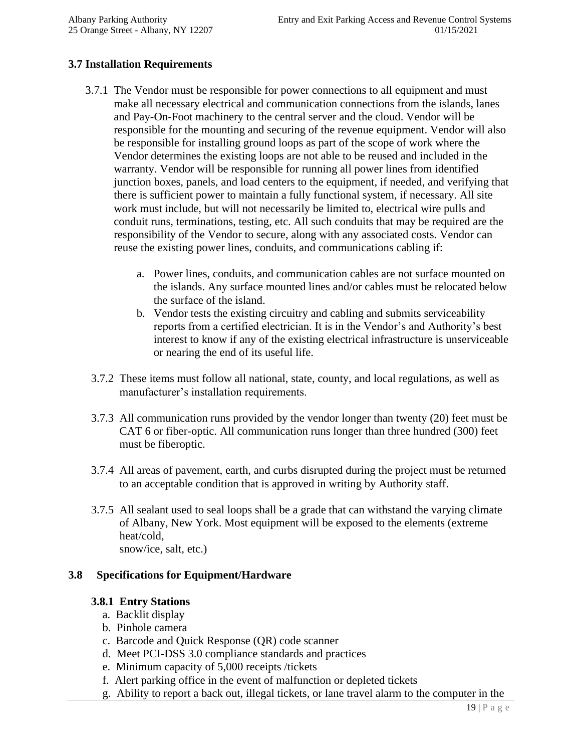#### **3.7 Installation Requirements**

- 3.7.1 The Vendor must be responsible for power connections to all equipment and must make all necessary electrical and communication connections from the islands, lanes and Pay-On-Foot machinery to the central server and the cloud. Vendor will be responsible for the mounting and securing of the revenue equipment. Vendor will also be responsible for installing ground loops as part of the scope of work where the Vendor determines the existing loops are not able to be reused and included in the warranty. Vendor will be responsible for running all power lines from identified junction boxes, panels, and load centers to the equipment, if needed, and verifying that there is sufficient power to maintain a fully functional system, if necessary. All site work must include, but will not necessarily be limited to, electrical wire pulls and conduit runs, terminations, testing, etc. All such conduits that may be required are the responsibility of the Vendor to secure, along with any associated costs. Vendor can reuse the existing power lines, conduits, and communications cabling if:
	- a. Power lines, conduits, and communication cables are not surface mounted on the islands. Any surface mounted lines and/or cables must be relocated below the surface of the island.
	- b. Vendor tests the existing circuitry and cabling and submits serviceability reports from a certified electrician. It is in the Vendor's and Authority's best interest to know if any of the existing electrical infrastructure is unserviceable or nearing the end of its useful life.
- 3.7.2 These items must follow all national, state, county, and local regulations, as well as manufacturer's installation requirements.
- 3.7.3 All communication runs provided by the vendor longer than twenty (20) feet must be CAT 6 or fiber-optic. All communication runs longer than three hundred (300) feet must be fiberoptic.
- 3.7.4 All areas of pavement, earth, and curbs disrupted during the project must be returned to an acceptable condition that is approved in writing by Authority staff.
- 3.7.5 All sealant used to seal loops shall be a grade that can withstand the varying climate of Albany, New York. Most equipment will be exposed to the elements (extreme heat/cold, snow/ice, salt, etc.)

#### **3.8 Specifications for Equipment/Hardware**

#### **3.8.1 Entry Stations**

- a. Backlit display
- b. Pinhole camera
- c. Barcode and Quick Response (QR) code scanner
- d. Meet PCI-DSS 3.0 compliance standards and practices
- e. Minimum capacity of 5,000 receipts /tickets
- f. Alert parking office in the event of malfunction or depleted tickets
- g. Ability to report a back out, illegal tickets, or lane travel alarm to the computer in the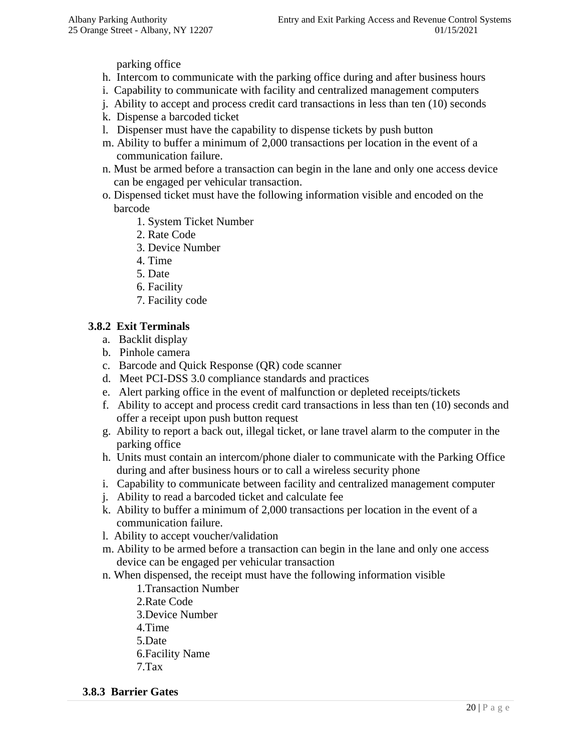parking office

- h. Intercom to communicate with the parking office during and after business hours
- i. Capability to communicate with facility and centralized management computers
- j. Ability to accept and process credit card transactions in less than ten (10) seconds
- k. Dispense a barcoded ticket
- l. Dispenser must have the capability to dispense tickets by push button
- m. Ability to buffer a minimum of 2,000 transactions per location in the event of a communication failure.
- n. Must be armed before a transaction can begin in the lane and only one access device can be engaged per vehicular transaction.
- o. Dispensed ticket must have the following information visible and encoded on the barcode
	- 1. System Ticket Number
	- 2. Rate Code
	- 3. Device Number
	- 4. Time
	- 5. Date
	- 6. Facility
	- 7. Facility code

#### **3.8.2 Exit Terminals**

- a. Backlit display
- b. Pinhole camera
- c. Barcode and Quick Response (QR) code scanner
- d. Meet PCI-DSS 3.0 compliance standards and practices
- e. Alert parking office in the event of malfunction or depleted receipts/tickets
- f. Ability to accept and process credit card transactions in less than ten (10) seconds and offer a receipt upon push button request
- g. Ability to report a back out, illegal ticket, or lane travel alarm to the computer in the parking office
- h. Units must contain an intercom/phone dialer to communicate with the Parking Office during and after business hours or to call a wireless security phone
- i. Capability to communicate between facility and centralized management computer
- j. Ability to read a barcoded ticket and calculate fee
- k. Ability to buffer a minimum of 2,000 transactions per location in the event of a communication failure.
- l. Ability to accept voucher/validation
- m. Ability to be armed before a transaction can begin in the lane and only one access device can be engaged per vehicular transaction
- n. When dispensed, the receipt must have the following information visible
	- 1.Transaction Number
	- 2.Rate Code
	- 3.Device Number
	- 4.Time
	- 5.Date
	- 6.Facility Name
	- 7.Tax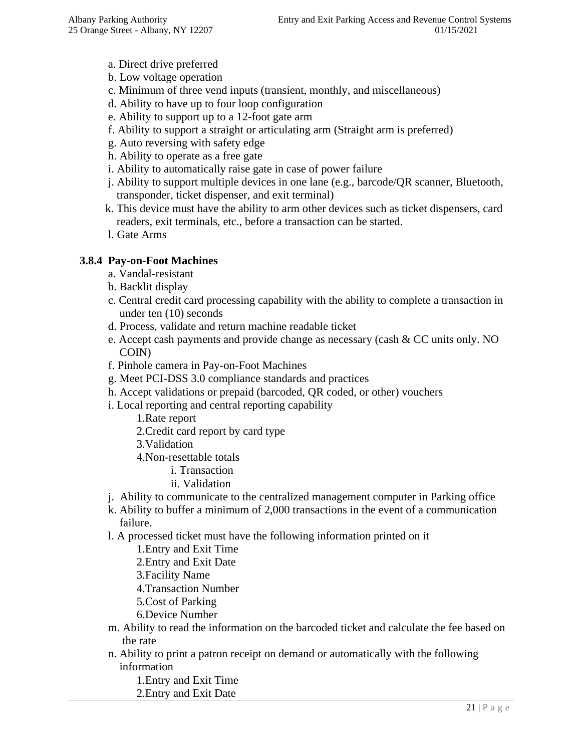- a. Direct drive preferred
- b. Low voltage operation
- c. Minimum of three vend inputs (transient, monthly, and miscellaneous)
- d. Ability to have up to four loop configuration
- e. Ability to support up to a 12-foot gate arm
- f. Ability to support a straight or articulating arm (Straight arm is preferred)
- g. Auto reversing with safety edge
- h. Ability to operate as a free gate
- i. Ability to automatically raise gate in case of power failure
- j. Ability to support multiple devices in one lane (e.g., barcode/QR scanner, Bluetooth, transponder, ticket dispenser, and exit terminal)
- k. This device must have the ability to arm other devices such as ticket dispensers, card readers, exit terminals, etc., before a transaction can be started.
- l. Gate Arms

#### **3.8.4 Pay-on-Foot Machines**

- a. Vandal-resistant
- b. Backlit display
- c. Central credit card processing capability with the ability to complete a transaction in under ten (10) seconds
- d. Process, validate and return machine readable ticket
- e. Accept cash payments and provide change as necessary (cash & CC units only. NO COIN)
- f. Pinhole camera in Pay-on-Foot Machines
- g. Meet PCI-DSS 3.0 compliance standards and practices
- h. Accept validations or prepaid (barcoded, QR coded, or other) vouchers
- i. Local reporting and central reporting capability
	- 1.Rate report
	- 2.Credit card report by card type
	- 3.Validation
	- 4.Non-resettable totals
		- i. Transaction
		- ii. Validation
- j. Ability to communicate to the centralized management computer in Parking office
- k. Ability to buffer a minimum of 2,000 transactions in the event of a communication failure.
- l. A processed ticket must have the following information printed on it
	- 1.Entry and Exit Time
	- 2.Entry and Exit Date
	- 3.Facility Name
	- 4.Transaction Number
	- 5.Cost of Parking
	- 6.Device Number
- m. Ability to read the information on the barcoded ticket and calculate the fee based on the rate
- n. Ability to print a patron receipt on demand or automatically with the following information
	- 1.Entry and Exit Time
	- 2.Entry and Exit Date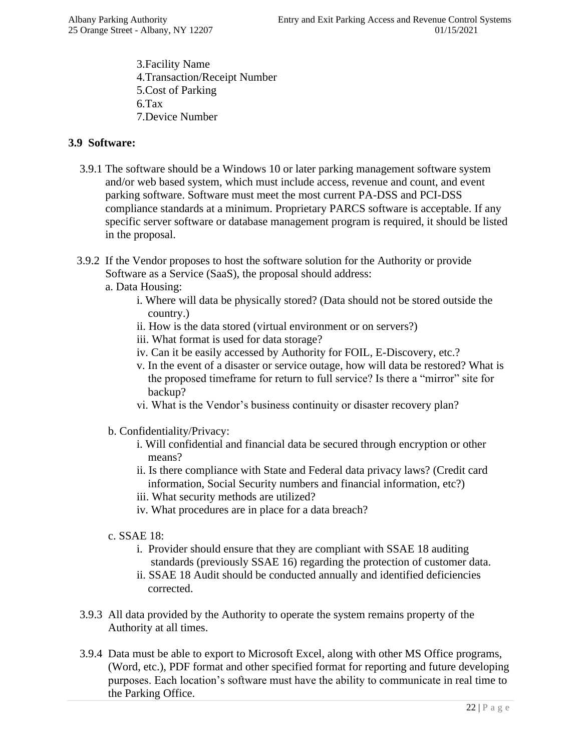3.Facility Name 4.Transaction/Receipt Number 5.Cost of Parking 6.Tax 7.Device Number

#### **3.9 Software:**

- 3.9.1 The software should be a Windows 10 or later parking management software system and/or web based system, which must include access, revenue and count, and event parking software. Software must meet the most current PA-DSS and PCI-DSS compliance standards at a minimum. Proprietary PARCS software is acceptable. If any specific server software or database management program is required, it should be listed in the proposal.
- 3.9.2 If the Vendor proposes to host the software solution for the Authority or provide Software as a Service (SaaS), the proposal should address:
	- a. Data Housing:
		- i. Where will data be physically stored? (Data should not be stored outside the country.)
		- ii. How is the data stored (virtual environment or on servers?)
		- iii. What format is used for data storage?
		- iv. Can it be easily accessed by Authority for FOIL, E-Discovery, etc.?
		- v. In the event of a disaster or service outage, how will data be restored? What is the proposed timeframe for return to full service? Is there a "mirror" site for backup?
		- vi. What is the Vendor's business continuity or disaster recovery plan?
	- b. Confidentiality/Privacy:
		- i. Will confidential and financial data be secured through encryption or other means?
		- ii. Is there compliance with State and Federal data privacy laws? (Credit card information, Social Security numbers and financial information, etc?)
		- iii. What security methods are utilized?
		- iv. What procedures are in place for a data breach?
	- c. SSAE 18:
		- i. Provider should ensure that they are compliant with SSAE 18 auditing standards (previously SSAE 16) regarding the protection of customer data.
		- ii. SSAE 18 Audit should be conducted annually and identified deficiencies corrected.
- 3.9.3 All data provided by the Authority to operate the system remains property of the Authority at all times.
- 3.9.4 Data must be able to export to Microsoft Excel, along with other MS Office programs, (Word, etc.), PDF format and other specified format for reporting and future developing purposes. Each location's software must have the ability to communicate in real time to the Parking Office.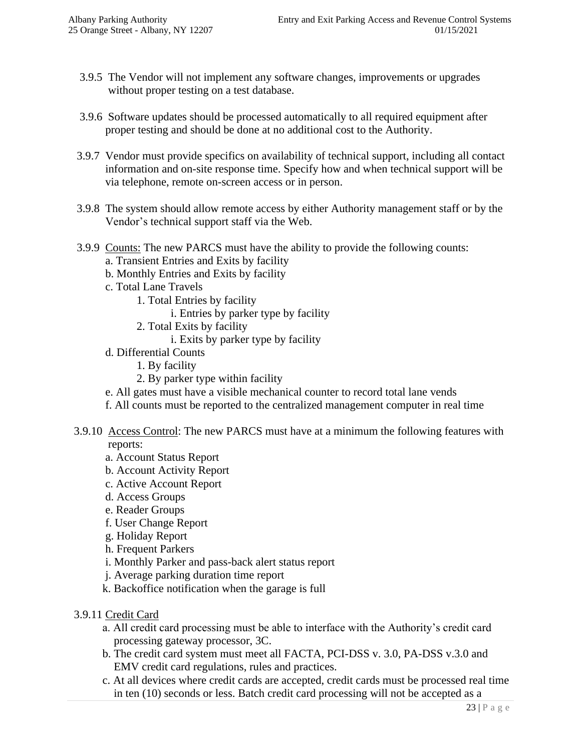- 3.9.5 The Vendor will not implement any software changes, improvements or upgrades without proper testing on a test database.
- 3.9.6 Software updates should be processed automatically to all required equipment after proper testing and should be done at no additional cost to the Authority.
- 3.9.7 Vendor must provide specifics on availability of technical support, including all contact information and on-site response time. Specify how and when technical support will be via telephone, remote on-screen access or in person.
- 3.9.8 The system should allow remote access by either Authority management staff or by the Vendor's technical support staff via the Web.
- 3.9.9 Counts: The new PARCS must have the ability to provide the following counts: a. Transient Entries and Exits by facility
	- b. Monthly Entries and Exits by facility
	- c. Total Lane Travels
		- 1. Total Entries by facility
			- i. Entries by parker type by facility
		- 2. Total Exits by facility
			- i. Exits by parker type by facility
	- d. Differential Counts
		- 1. By facility
		- 2. By parker type within facility
	- e. All gates must have a visible mechanical counter to record total lane vends
	- f. All counts must be reported to the centralized management computer in real time
- 3.9.10 Access Control: The new PARCS must have at a minimum the following features with reports:
	- a. Account Status Report
	- b. Account Activity Report
	- c. Active Account Report
	- d. Access Groups
	- e. Reader Groups
	- f. User Change Report
	- g. Holiday Report
	- h. Frequent Parkers
	- i. Monthly Parker and pass-back alert status report
	- j. Average parking duration time report
	- k. Backoffice notification when the garage is full
- 3.9.11 Credit Card
	- a. All credit card processing must be able to interface with the Authority's credit card processing gateway processor, 3C.
	- b. The credit card system must meet all FACTA, PCI-DSS v. 3.0, PA-DSS v.3.0 and EMV credit card regulations, rules and practices.
	- c. At all devices where credit cards are accepted, credit cards must be processed real time in ten (10) seconds or less. Batch credit card processing will not be accepted as a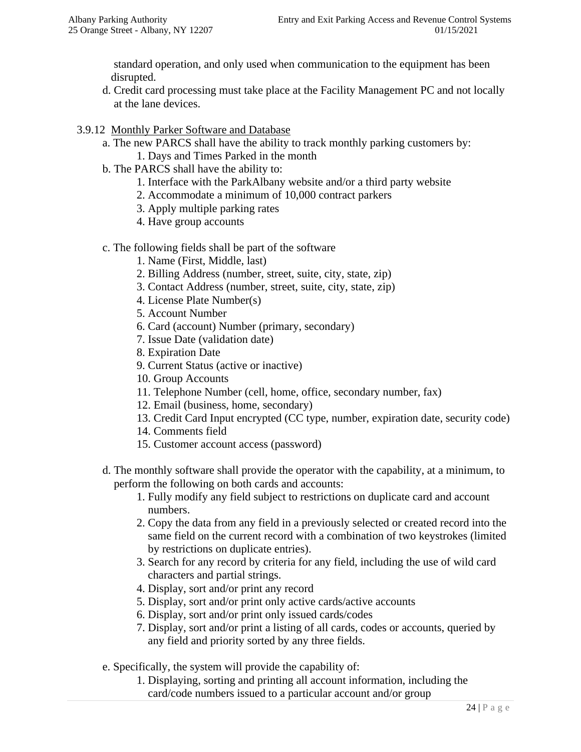standard operation, and only used when communication to the equipment has been disrupted.

- d. Credit card processing must take place at the Facility Management PC and not locally at the lane devices.
- 3.9.12 Monthly Parker Software and Database
	- a. The new PARCS shall have the ability to track monthly parking customers by: 1. Days and Times Parked in the month
	- b. The PARCS shall have the ability to:
		- 1. Interface with the ParkAlbany website and/or a third party website
		- 2. Accommodate a minimum of 10,000 contract parkers
		- 3. Apply multiple parking rates
		- 4. Have group accounts
	- c. The following fields shall be part of the software
		- 1. Name (First, Middle, last)
		- 2. Billing Address (number, street, suite, city, state, zip)
		- 3. Contact Address (number, street, suite, city, state, zip)
		- 4. License Plate Number(s)
		- 5. Account Number
		- 6. Card (account) Number (primary, secondary)
		- 7. Issue Date (validation date)
		- 8. Expiration Date
		- 9. Current Status (active or inactive)
		- 10. Group Accounts
		- 11. Telephone Number (cell, home, office, secondary number, fax)
		- 12. Email (business, home, secondary)
		- 13. Credit Card Input encrypted (CC type, number, expiration date, security code)
		- 14. Comments field
		- 15. Customer account access (password)
	- d. The monthly software shall provide the operator with the capability, at a minimum, to perform the following on both cards and accounts:
		- 1. Fully modify any field subject to restrictions on duplicate card and account numbers.
		- 2. Copy the data from any field in a previously selected or created record into the same field on the current record with a combination of two keystrokes (limited by restrictions on duplicate entries).
		- 3. Search for any record by criteria for any field, including the use of wild card characters and partial strings.
		- 4. Display, sort and/or print any record
		- 5. Display, sort and/or print only active cards/active accounts
		- 6. Display, sort and/or print only issued cards/codes
		- 7. Display, sort and/or print a listing of all cards, codes or accounts, queried by any field and priority sorted by any three fields.
	- e. Specifically, the system will provide the capability of:
		- 1. Displaying, sorting and printing all account information, including the card/code numbers issued to a particular account and/or group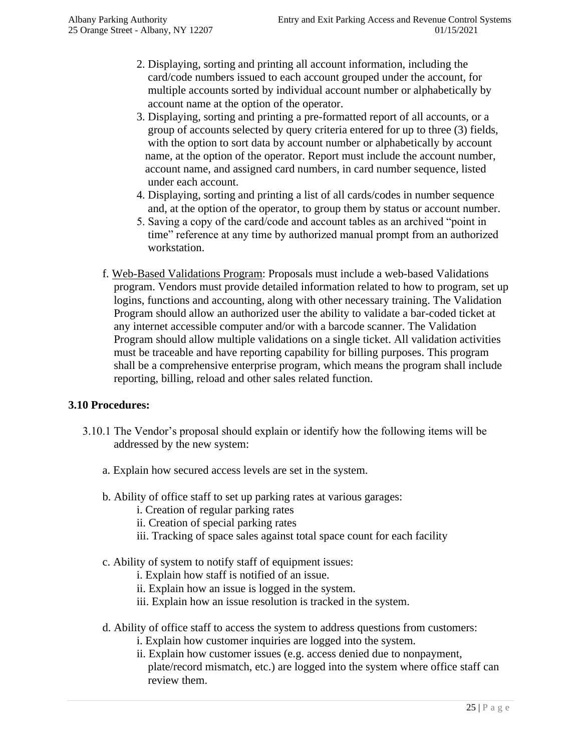- 2. Displaying, sorting and printing all account information, including the card/code numbers issued to each account grouped under the account, for multiple accounts sorted by individual account number or alphabetically by account name at the option of the operator.
- 3. Displaying, sorting and printing a pre-formatted report of all accounts, or a group of accounts selected by query criteria entered for up to three (3) fields, with the option to sort data by account number or alphabetically by account name, at the option of the operator. Report must include the account number, account name, and assigned card numbers, in card number sequence, listed under each account.
- 4. Displaying, sorting and printing a list of all cards/codes in number sequence and, at the option of the operator, to group them by status or account number.
- 5. Saving a copy of the card/code and account tables as an archived "point in time" reference at any time by authorized manual prompt from an authorized workstation.
- f. Web-Based Validations Program: Proposals must include a web-based Validations program. Vendors must provide detailed information related to how to program, set up logins, functions and accounting, along with other necessary training. The Validation Program should allow an authorized user the ability to validate a bar-coded ticket at any internet accessible computer and/or with a barcode scanner. The Validation Program should allow multiple validations on a single ticket. All validation activities must be traceable and have reporting capability for billing purposes. This program shall be a comprehensive enterprise program, which means the program shall include reporting, billing, reload and other sales related function.

#### **3.10 Procedures:**

- 3.10.1 The Vendor's proposal should explain or identify how the following items will be addressed by the new system:
	- a. Explain how secured access levels are set in the system.
	- b. Ability of office staff to set up parking rates at various garages:
		- i. Creation of regular parking rates
		- ii. Creation of special parking rates
		- iii. Tracking of space sales against total space count for each facility
	- c. Ability of system to notify staff of equipment issues:
		- i. Explain how staff is notified of an issue.
		- ii. Explain how an issue is logged in the system.
		- iii. Explain how an issue resolution is tracked in the system.
	- d. Ability of office staff to access the system to address questions from customers:
		- i. Explain how customer inquiries are logged into the system.
		- ii. Explain how customer issues (e.g. access denied due to nonpayment, plate/record mismatch, etc.) are logged into the system where office staff can review them.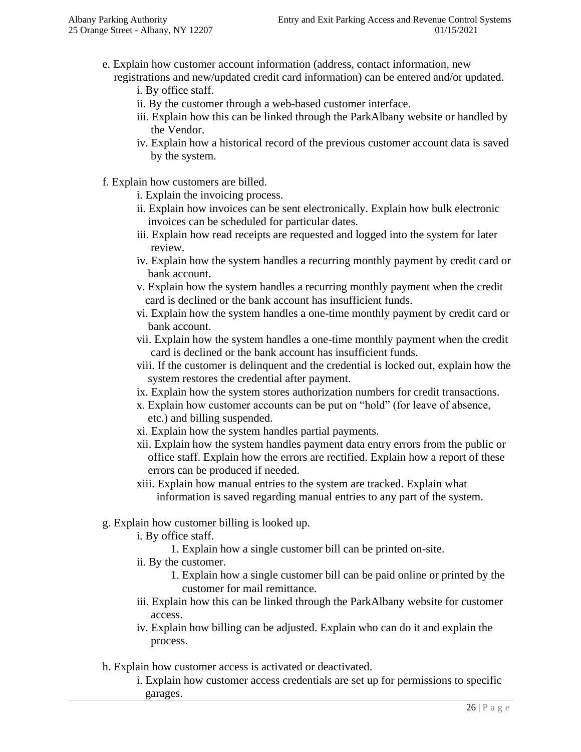e. Explain how customer account information (address, contact information, new registrations and new/updated credit card information) can be entered and/or updated.

i. By office staff.

- ii. By the customer through a web-based customer interface.
- iii. Explain how this can be linked through the ParkAlbany website or handled by the Vendor.
- iv. Explain how a historical record of the previous customer account data is saved by the system.
- f. Explain how customers are billed.
	- i. Explain the invoicing process.
	- ii. Explain how invoices can be sent electronically. Explain how bulk electronic invoices can be scheduled for particular dates.
	- iii. Explain how read receipts are requested and logged into the system for later review.
	- iv. Explain how the system handles a recurring monthly payment by credit card or bank account.
	- v. Explain how the system handles a recurring monthly payment when the credit card is declined or the bank account has insufficient funds.
	- vi. Explain how the system handles a one-time monthly payment by credit card or bank account.
	- vii. Explain how the system handles a one-time monthly payment when the credit card is declined or the bank account has insufficient funds.
	- viii. If the customer is delinquent and the credential is locked out, explain how the system restores the credential after payment.
	- ix. Explain how the system stores authorization numbers for credit transactions.
	- x. Explain how customer accounts can be put on "hold" (for leave of absence, etc.) and billing suspended.
	- xi. Explain how the system handles partial payments.
	- xii. Explain how the system handles payment data entry errors from the public or office staff. Explain how the errors are rectified. Explain how a report of these errors can be produced if needed.
	- xiii. Explain how manual entries to the system are tracked. Explain what information is saved regarding manual entries to any part of the system.
- g. Explain how customer billing is looked up.
	- i. By office staff.
		- 1. Explain how a single customer bill can be printed on-site.
	- ii. By the customer.
		- 1. Explain how a single customer bill can be paid online or printed by the customer for mail remittance.
- iii. Explain how this can be linked through the ParkAlbany website for customer access.
	- iv. Explain how billing can be adjusted. Explain who can do it and explain the process.
- h. Explain how customer access is activated or deactivated.
	- i. Explain how customer access credentials are set up for permissions to specific garages.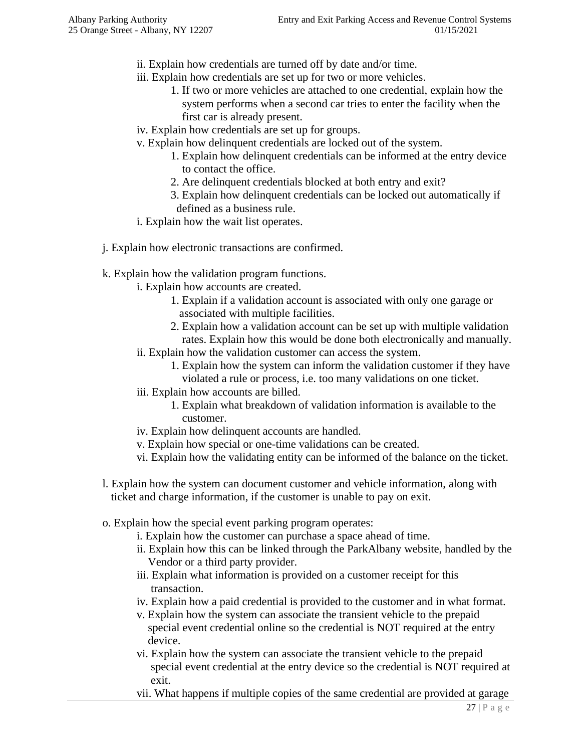- ii. Explain how credentials are turned off by date and/or time.
- iii. Explain how credentials are set up for two or more vehicles.
	- 1. If two or more vehicles are attached to one credential, explain how the system performs when a second car tries to enter the facility when the first car is already present.
- iv. Explain how credentials are set up for groups.
- v. Explain how delinquent credentials are locked out of the system.
	- 1. Explain how delinquent credentials can be informed at the entry device to contact the office.
	- 2. Are delinquent credentials blocked at both entry and exit?
	- 3. Explain how delinquent credentials can be locked out automatically if defined as a business rule.
- i. Explain how the wait list operates.
- j. Explain how electronic transactions are confirmed.
- k. Explain how the validation program functions.
	- i. Explain how accounts are created.
		- 1. Explain if a validation account is associated with only one garage or associated with multiple facilities.
		- 2. Explain how a validation account can be set up with multiple validation rates. Explain how this would be done both electronically and manually.
	- ii. Explain how the validation customer can access the system.
		- 1. Explain how the system can inform the validation customer if they have violated a rule or process, i.e. too many validations on one ticket.
	- iii. Explain how accounts are billed.
		- 1. Explain what breakdown of validation information is available to the customer.
	- iv. Explain how delinquent accounts are handled.
	- v. Explain how special or one-time validations can be created.
	- vi. Explain how the validating entity can be informed of the balance on the ticket.
- l. Explain how the system can document customer and vehicle information, along with ticket and charge information, if the customer is unable to pay on exit.
- o. Explain how the special event parking program operates:
	- i. Explain how the customer can purchase a space ahead of time.
	- ii. Explain how this can be linked through the ParkAlbany website, handled by the Vendor or a third party provider.
	- iii. Explain what information is provided on a customer receipt for this transaction.
	- iv. Explain how a paid credential is provided to the customer and in what format.
	- v. Explain how the system can associate the transient vehicle to the prepaid special event credential online so the credential is NOT required at the entry device.
	- vi. Explain how the system can associate the transient vehicle to the prepaid special event credential at the entry device so the credential is NOT required at exit.
	- vii. What happens if multiple copies of the same credential are provided at garage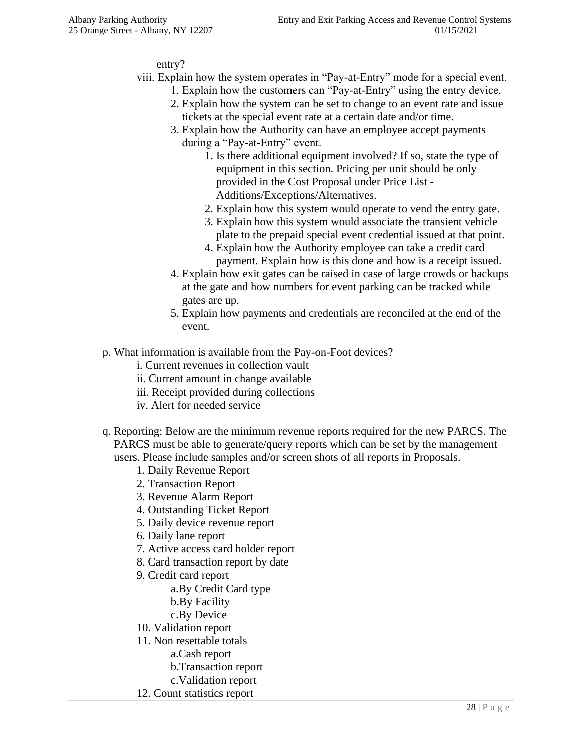#### entry?

- viii. Explain how the system operates in "Pay-at-Entry" mode for a special event.
	- 1. Explain how the customers can "Pay-at-Entry" using the entry device.
	- 2. Explain how the system can be set to change to an event rate and issue tickets at the special event rate at a certain date and/or time.
	- 3. Explain how the Authority can have an employee accept payments during a "Pay-at-Entry" event.
		- 1. Is there additional equipment involved? If so, state the type of equipment in this section. Pricing per unit should be only provided in the Cost Proposal under Price List - Additions/Exceptions/Alternatives.
		- 2. Explain how this system would operate to vend the entry gate.
		- 3. Explain how this system would associate the transient vehicle plate to the prepaid special event credential issued at that point.
		- 4. Explain how the Authority employee can take a credit card payment. Explain how is this done and how is a receipt issued.
	- 4. Explain how exit gates can be raised in case of large crowds or backups at the gate and how numbers for event parking can be tracked while gates are up.
	- 5. Explain how payments and credentials are reconciled at the end of the event.
- p. What information is available from the Pay-on-Foot devices?
	- i. Current revenues in collection vault
	- ii. Current amount in change available
	- iii. Receipt provided during collections
	- iv. Alert for needed service
- q. Reporting: Below are the minimum revenue reports required for the new PARCS. The PARCS must be able to generate/query reports which can be set by the management users. Please include samples and/or screen shots of all reports in Proposals.
	- 1. Daily Revenue Report
	- 2. Transaction Report
	- 3. Revenue Alarm Report
	- 4. Outstanding Ticket Report
	- 5. Daily device revenue report
	- 6. Daily lane report
	- 7. Active access card holder report
	- 8. Card transaction report by date
	- 9. Credit card report
		- a.By Credit Card type
		- b.By Facility
		- c.By Device
	- 10. Validation report
	- 11. Non resettable totals
		- a.Cash report
		- b.Transaction report
		- c.Validation report
	- 12. Count statistics report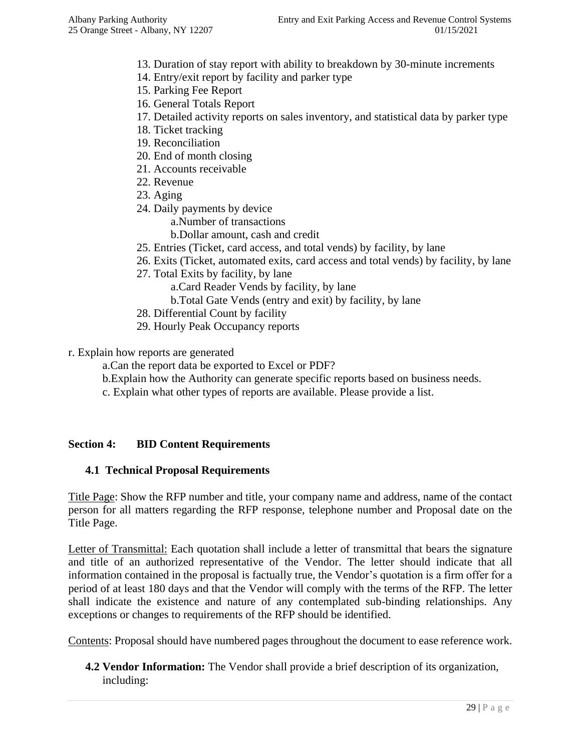- 13. Duration of stay report with ability to breakdown by 30-minute increments
- 14. Entry/exit report by facility and parker type
- 15. Parking Fee Report
- 16. General Totals Report
- 17. Detailed activity reports on sales inventory, and statistical data by parker type
- 18. Ticket tracking
- 19. Reconciliation
- 20. End of month closing
- 21. Accounts receivable
- 22. Revenue
- 23. Aging
- 24. Daily payments by device
	- a.Number of transactions
	- b.Dollar amount, cash and credit
- 25. Entries (Ticket, card access, and total vends) by facility, by lane
- 26. Exits (Ticket, automated exits, card access and total vends) by facility, by lane
- 27. Total Exits by facility, by lane
	- a.Card Reader Vends by facility, by lane
	- b.Total Gate Vends (entry and exit) by facility, by lane
- 28. Differential Count by facility
- 29. Hourly Peak Occupancy reports
- r. Explain how reports are generated
	- a.Can the report data be exported to Excel or PDF?
	- b.Explain how the Authority can generate specific reports based on business needs.
	- c. Explain what other types of reports are available. Please provide a list.

#### **Section 4: BID Content Requirements**

#### **4.1 Technical Proposal Requirements**

Title Page: Show the RFP number and title, your company name and address, name of the contact person for all matters regarding the RFP response, telephone number and Proposal date on the Title Page.

Letter of Transmittal: Each quotation shall include a letter of transmittal that bears the signature and title of an authorized representative of the Vendor. The letter should indicate that all information contained in the proposal is factually true, the Vendor's quotation is a firm offer for a period of at least 180 days and that the Vendor will comply with the terms of the RFP. The letter shall indicate the existence and nature of any contemplated sub-binding relationships. Any exceptions or changes to requirements of the RFP should be identified.

Contents: Proposal should have numbered pages throughout the document to ease reference work.

**4.2 Vendor Information:** The Vendor shall provide a brief description of its organization, including: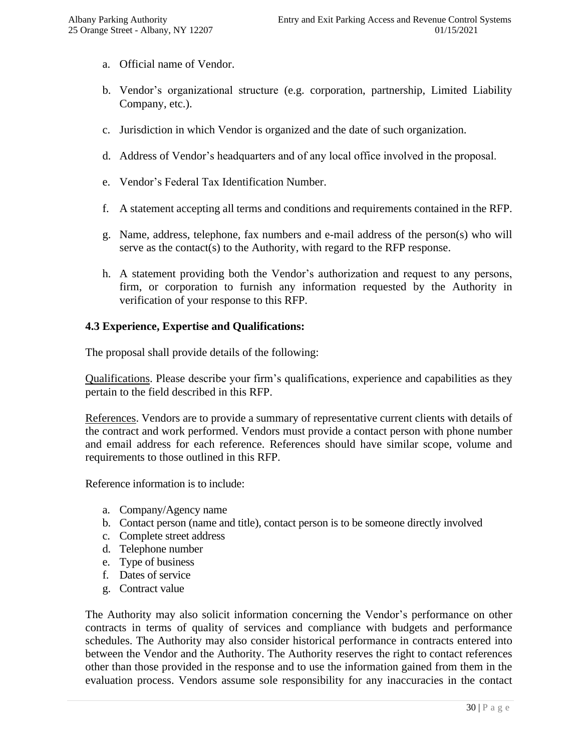- a. Official name of Vendor.
- b. Vendor's organizational structure (e.g. corporation, partnership, Limited Liability Company, etc.).
- c. Jurisdiction in which Vendor is organized and the date of such organization.
- d. Address of Vendor's headquarters and of any local office involved in the proposal.
- e. Vendor's Federal Tax Identification Number.
- f. A statement accepting all terms and conditions and requirements contained in the RFP.
- g. Name, address, telephone, fax numbers and e-mail address of the person(s) who will serve as the contact(s) to the Authority, with regard to the RFP response.
- h. A statement providing both the Vendor's authorization and request to any persons, firm, or corporation to furnish any information requested by the Authority in verification of your response to this RFP.

#### **4.3 Experience, Expertise and Qualifications:**

The proposal shall provide details of the following:

Qualifications. Please describe your firm's qualifications, experience and capabilities as they pertain to the field described in this RFP.

References. Vendors are to provide a summary of representative current clients with details of the contract and work performed. Vendors must provide a contact person with phone number and email address for each reference. References should have similar scope, volume and requirements to those outlined in this RFP.

Reference information is to include:

- a. Company/Agency name
- b. Contact person (name and title), contact person is to be someone directly involved
- c. Complete street address
- d. Telephone number
- e. Type of business
- f. Dates of service
- g. Contract value

The Authority may also solicit information concerning the Vendor's performance on other contracts in terms of quality of services and compliance with budgets and performance schedules. The Authority may also consider historical performance in contracts entered into between the Vendor and the Authority. The Authority reserves the right to contact references other than those provided in the response and to use the information gained from them in the evaluation process. Vendors assume sole responsibility for any inaccuracies in the contact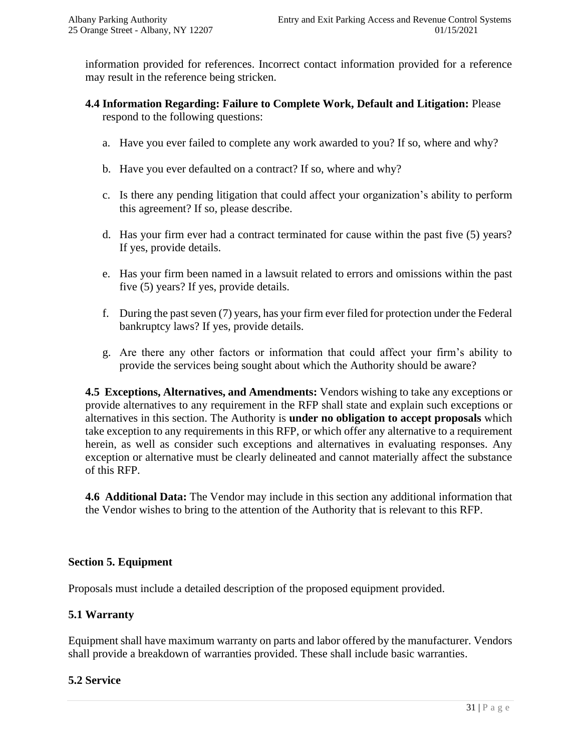information provided for references. Incorrect contact information provided for a reference may result in the reference being stricken.

- **4.4 Information Regarding: Failure to Complete Work, Default and Litigation:** Please respond to the following questions:
	- a. Have you ever failed to complete any work awarded to you? If so, where and why?
	- b. Have you ever defaulted on a contract? If so, where and why?
	- c. Is there any pending litigation that could affect your organization's ability to perform this agreement? If so, please describe.
	- d. Has your firm ever had a contract terminated for cause within the past five (5) years? If yes, provide details.
	- e. Has your firm been named in a lawsuit related to errors and omissions within the past five (5) years? If yes, provide details.
	- f. During the past seven (7) years, has your firm ever filed for protection under the Federal bankruptcy laws? If yes, provide details.
	- g. Are there any other factors or information that could affect your firm's ability to provide the services being sought about which the Authority should be aware?

**4.5 Exceptions, Alternatives, and Amendments:** Vendors wishing to take any exceptions or provide alternatives to any requirement in the RFP shall state and explain such exceptions or alternatives in this section. The Authority is **under no obligation to accept proposals** which take exception to any requirements in this RFP, or which offer any alternative to a requirement herein, as well as consider such exceptions and alternatives in evaluating responses. Any exception or alternative must be clearly delineated and cannot materially affect the substance of this RFP.

**4.6 Additional Data:** The Vendor may include in this section any additional information that the Vendor wishes to bring to the attention of the Authority that is relevant to this RFP.

#### **Section 5. Equipment**

Proposals must include a detailed description of the proposed equipment provided.

#### **5.1 Warranty**

Equipment shall have maximum warranty on parts and labor offered by the manufacturer. Vendors shall provide a breakdown of warranties provided. These shall include basic warranties.

#### **5.2 Service**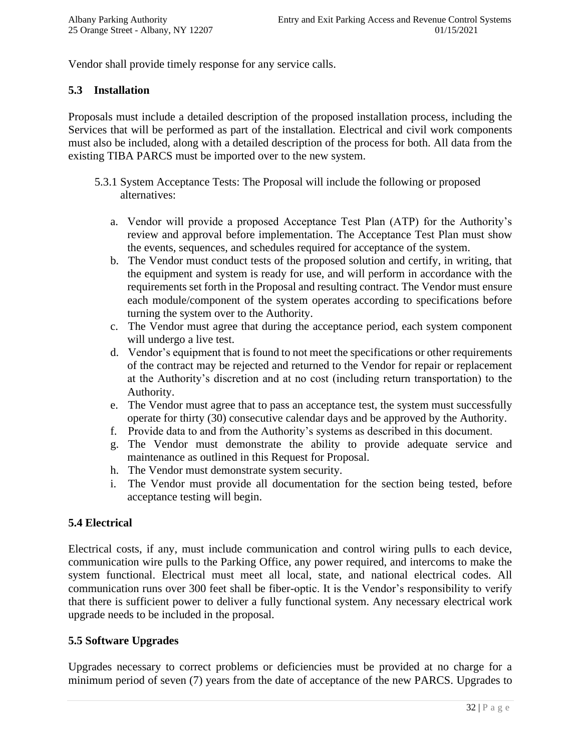Vendor shall provide timely response for any service calls.

#### **5.3 Installation**

Proposals must include a detailed description of the proposed installation process, including the Services that will be performed as part of the installation. Electrical and civil work components must also be included, along with a detailed description of the process for both. All data from the existing TIBA PARCS must be imported over to the new system.

- 5.3.1 System Acceptance Tests: The Proposal will include the following or proposed alternatives:
	- a. Vendor will provide a proposed Acceptance Test Plan (ATP) for the Authority's review and approval before implementation. The Acceptance Test Plan must show the events, sequences, and schedules required for acceptance of the system.
	- b. The Vendor must conduct tests of the proposed solution and certify, in writing, that the equipment and system is ready for use, and will perform in accordance with the requirements set forth in the Proposal and resulting contract. The Vendor must ensure each module/component of the system operates according to specifications before turning the system over to the Authority.
	- c. The Vendor must agree that during the acceptance period, each system component will undergo a live test.
	- d. Vendor's equipment that is found to not meet the specifications or other requirements of the contract may be rejected and returned to the Vendor for repair or replacement at the Authority's discretion and at no cost (including return transportation) to the Authority.
	- e. The Vendor must agree that to pass an acceptance test, the system must successfully operate for thirty (30) consecutive calendar days and be approved by the Authority.
	- f. Provide data to and from the Authority's systems as described in this document.
	- g. The Vendor must demonstrate the ability to provide adequate service and maintenance as outlined in this Request for Proposal.
	- h. The Vendor must demonstrate system security.
	- i. The Vendor must provide all documentation for the section being tested, before acceptance testing will begin.

#### **5.4 Electrical**

Electrical costs, if any, must include communication and control wiring pulls to each device, communication wire pulls to the Parking Office, any power required, and intercoms to make the system functional. Electrical must meet all local, state, and national electrical codes. All communication runs over 300 feet shall be fiber-optic. It is the Vendor's responsibility to verify that there is sufficient power to deliver a fully functional system. Any necessary electrical work upgrade needs to be included in the proposal.

#### **5.5 Software Upgrades**

Upgrades necessary to correct problems or deficiencies must be provided at no charge for a minimum period of seven (7) years from the date of acceptance of the new PARCS. Upgrades to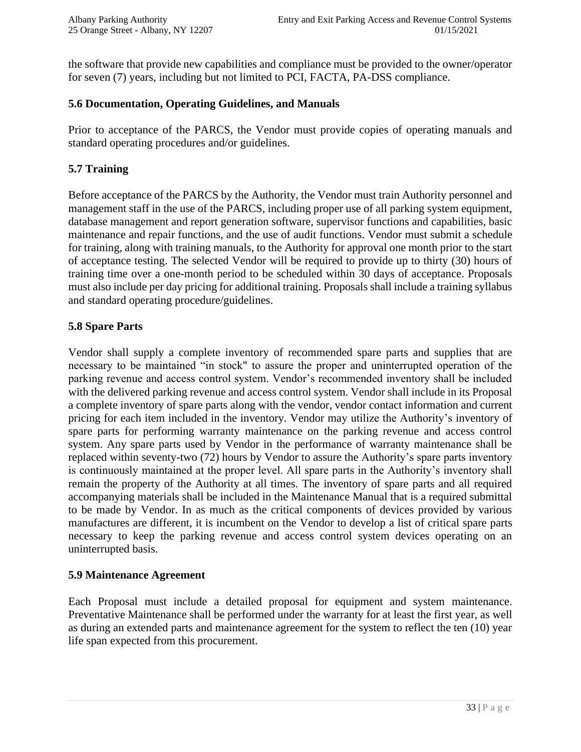the software that provide new capabilities and compliance must be provided to the owner/operator for seven (7) years, including but not limited to PCI, FACTA, PA-DSS compliance.

#### **5.6 Documentation, Operating Guidelines, and Manuals**

Prior to acceptance of the PARCS, the Vendor must provide copies of operating manuals and standard operating procedures and/or guidelines.

#### **5.7 Training**

Before acceptance of the PARCS by the Authority, the Vendor must train Authority personnel and management staff in the use of the PARCS, including proper use of all parking system equipment, database management and report generation software, supervisor functions and capabilities, basic maintenance and repair functions, and the use of audit functions. Vendor must submit a schedule for training, along with training manuals, to the Authority for approval one month prior to the start of acceptance testing. The selected Vendor will be required to provide up to thirty (30) hours of training time over a one-month period to be scheduled within 30 days of acceptance. Proposals must also include per day pricing for additional training. Proposals shall include a training syllabus and standard operating procedure/guidelines.

#### **5.8 Spare Parts**

Vendor shall supply a complete inventory of recommended spare parts and supplies that are necessary to be maintained "in stock" to assure the proper and uninterrupted operation of the parking revenue and access control system. Vendor's recommended inventory shall be included with the delivered parking revenue and access control system. Vendor shall include in its Proposal a complete inventory of spare parts along with the vendor, vendor contact information and current pricing for each item included in the inventory. Vendor may utilize the Authority's inventory of spare parts for performing warranty maintenance on the parking revenue and access control system. Any spare parts used by Vendor in the performance of warranty maintenance shall be replaced within seventy-two (72) hours by Vendor to assure the Authority's spare parts inventory is continuously maintained at the proper level. All spare parts in the Authority's inventory shall remain the property of the Authority at all times. The inventory of spare parts and all required accompanying materials shall be included in the Maintenance Manual that is a required submittal to be made by Vendor. In as much as the critical components of devices provided by various manufactures are different, it is incumbent on the Vendor to develop a list of critical spare parts necessary to keep the parking revenue and access control system devices operating on an uninterrupted basis.

#### **5.9 Maintenance Agreement**

Each Proposal must include a detailed proposal for equipment and system maintenance. Preventative Maintenance shall be performed under the warranty for at least the first year, as well as during an extended parts and maintenance agreement for the system to reflect the ten (10) year life span expected from this procurement.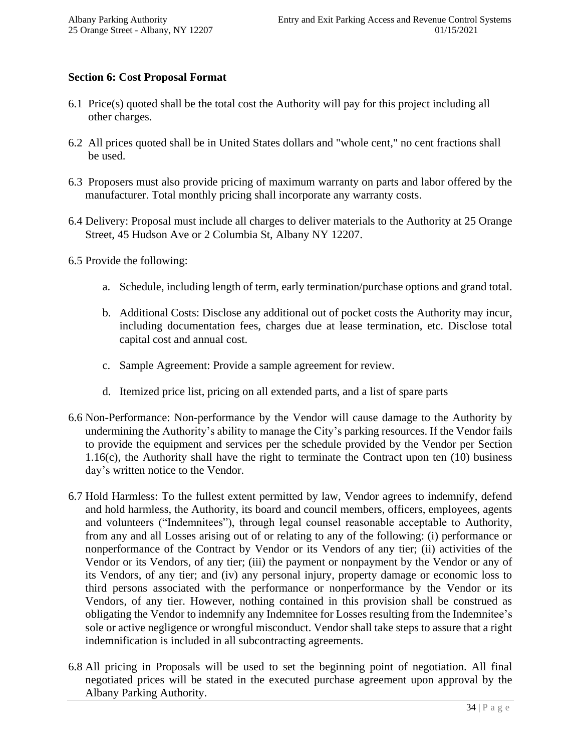#### **Section 6: Cost Proposal Format**

- 6.1 Price(s) quoted shall be the total cost the Authority will pay for this project including all other charges.
- 6.2 All prices quoted shall be in United States dollars and "whole cent," no cent fractions shall be used.
- 6.3 Proposers must also provide pricing of maximum warranty on parts and labor offered by the manufacturer. Total monthly pricing shall incorporate any warranty costs.
- 6.4 Delivery: Proposal must include all charges to deliver materials to the Authority at 25 Orange Street, 45 Hudson Ave or 2 Columbia St, Albany NY 12207.
- 6.5 Provide the following:
	- a. Schedule, including length of term, early termination/purchase options and grand total.
	- b. Additional Costs: Disclose any additional out of pocket costs the Authority may incur, including documentation fees, charges due at lease termination, etc. Disclose total capital cost and annual cost.
	- c. Sample Agreement: Provide a sample agreement for review.
	- d. Itemized price list, pricing on all extended parts, and a list of spare parts
- 6.6 Non-Performance: Non-performance by the Vendor will cause damage to the Authority by undermining the Authority's ability to manage the City's parking resources. If the Vendor fails to provide the equipment and services per the schedule provided by the Vendor per Section 1.16(c), the Authority shall have the right to terminate the Contract upon ten (10) business day's written notice to the Vendor.
- 6.7 Hold Harmless: To the fullest extent permitted by law, Vendor agrees to indemnify, defend and hold harmless, the Authority, its board and council members, officers, employees, agents and volunteers ("Indemnitees"), through legal counsel reasonable acceptable to Authority, from any and all Losses arising out of or relating to any of the following: (i) performance or nonperformance of the Contract by Vendor or its Vendors of any tier; (ii) activities of the Vendor or its Vendors, of any tier; (iii) the payment or nonpayment by the Vendor or any of its Vendors, of any tier; and (iv) any personal injury, property damage or economic loss to third persons associated with the performance or nonperformance by the Vendor or its Vendors, of any tier. However, nothing contained in this provision shall be construed as obligating the Vendor to indemnify any Indemnitee for Losses resulting from the Indemnitee's sole or active negligence or wrongful misconduct. Vendor shall take steps to assure that a right indemnification is included in all subcontracting agreements.
- 6.8 All pricing in Proposals will be used to set the beginning point of negotiation. All final negotiated prices will be stated in the executed purchase agreement upon approval by the Albany Parking Authority.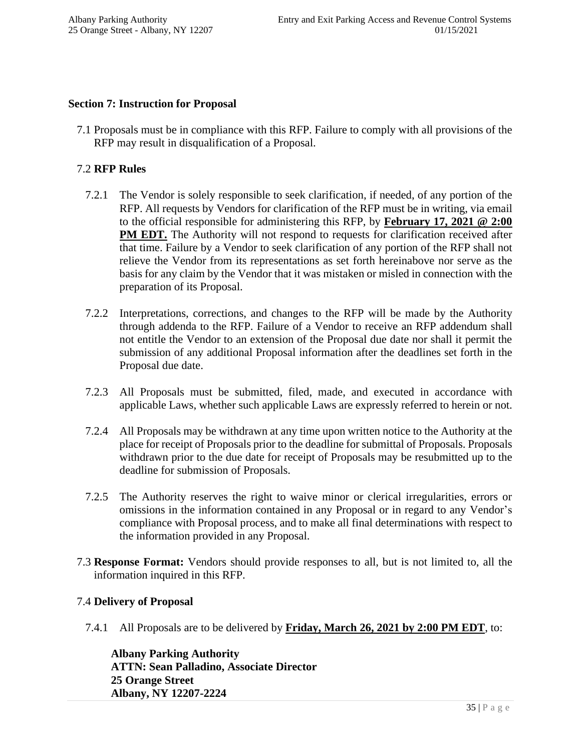#### **Section 7: Instruction for Proposal**

7.1 Proposals must be in compliance with this RFP. Failure to comply with all provisions of the RFP may result in disqualification of a Proposal.

#### 7.2 **RFP Rules**

- 7.2.1 The Vendor is solely responsible to seek clarification, if needed, of any portion of the RFP. All requests by Vendors for clarification of the RFP must be in writing, via email to the official responsible for administering this RFP, by **February 17, 2021 @ 2:00 PM EDT.** The Authority will not respond to requests for clarification received after that time. Failure by a Vendor to seek clarification of any portion of the RFP shall not relieve the Vendor from its representations as set forth hereinabove nor serve as the basis for any claim by the Vendor that it was mistaken or misled in connection with the preparation of its Proposal.
- 7.2.2 Interpretations, corrections, and changes to the RFP will be made by the Authority through addenda to the RFP. Failure of a Vendor to receive an RFP addendum shall not entitle the Vendor to an extension of the Proposal due date nor shall it permit the submission of any additional Proposal information after the deadlines set forth in the Proposal due date.
- 7.2.3 All Proposals must be submitted, filed, made, and executed in accordance with applicable Laws, whether such applicable Laws are expressly referred to herein or not.
- 7.2.4 All Proposals may be withdrawn at any time upon written notice to the Authority at the place for receipt of Proposals prior to the deadline for submittal of Proposals. Proposals withdrawn prior to the due date for receipt of Proposals may be resubmitted up to the deadline for submission of Proposals.
- 7.2.5 The Authority reserves the right to waive minor or clerical irregularities, errors or omissions in the information contained in any Proposal or in regard to any Vendor's compliance with Proposal process, and to make all final determinations with respect to the information provided in any Proposal.
- 7.3 **Response Format:** Vendors should provide responses to all, but is not limited to, all the information inquired in this RFP.

#### 7.4 **Delivery of Proposal**

7.4.1 All Proposals are to be delivered by **Friday, March 26, 2021 by 2:00 PM EDT**, to:

**Albany Parking Authority ATTN: Sean Palladino, Associate Director 25 Orange Street Albany, NY 12207-2224**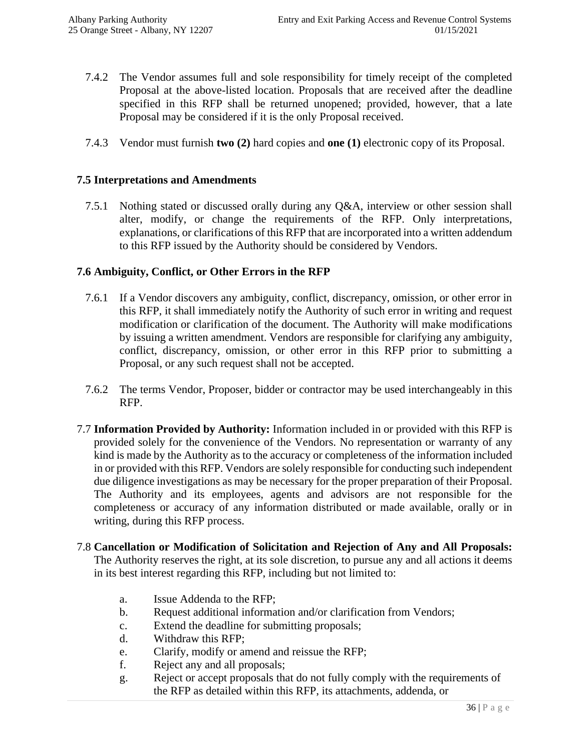- 7.4.2 The Vendor assumes full and sole responsibility for timely receipt of the completed Proposal at the above-listed location. Proposals that are received after the deadline specified in this RFP shall be returned unopened; provided, however, that a late Proposal may be considered if it is the only Proposal received.
- 7.4.3 Vendor must furnish **two (2)** hard copies and **one (1)** electronic copy of its Proposal.

#### **7.5 Interpretations and Amendments**

7.5.1 Nothing stated or discussed orally during any Q&A, interview or other session shall alter, modify, or change the requirements of the RFP. Only interpretations, explanations, or clarifications of this RFP that are incorporated into a written addendum to this RFP issued by the Authority should be considered by Vendors.

#### **7.6 Ambiguity, Conflict, or Other Errors in the RFP**

- 7.6.1 If a Vendor discovers any ambiguity, conflict, discrepancy, omission, or other error in this RFP, it shall immediately notify the Authority of such error in writing and request modification or clarification of the document. The Authority will make modifications by issuing a written amendment. Vendors are responsible for clarifying any ambiguity, conflict, discrepancy, omission, or other error in this RFP prior to submitting a Proposal, or any such request shall not be accepted.
- 7.6.2 The terms Vendor, Proposer, bidder or contractor may be used interchangeably in this RFP.
- 7.7 **Information Provided by Authority:** Information included in or provided with this RFP is provided solely for the convenience of the Vendors. No representation or warranty of any kind is made by the Authority as to the accuracy or completeness of the information included in or provided with this RFP. Vendors are solely responsible for conducting such independent due diligence investigations as may be necessary for the proper preparation of their Proposal. The Authority and its employees, agents and advisors are not responsible for the completeness or accuracy of any information distributed or made available, orally or in writing, during this RFP process.
- 7.8 **Cancellation or Modification of Solicitation and Rejection of Any and All Proposals:**  The Authority reserves the right, at its sole discretion, to pursue any and all actions it deems in its best interest regarding this RFP, including but not limited to:
	- a. Issue Addenda to the RFP;
	- b. Request additional information and/or clarification from Vendors;
	- c. Extend the deadline for submitting proposals;
	- d. Withdraw this RFP;
	- e. Clarify, modify or amend and reissue the RFP;
	- f. Reject any and all proposals;
	- g. Reject or accept proposals that do not fully comply with the requirements of the RFP as detailed within this RFP, its attachments, addenda, or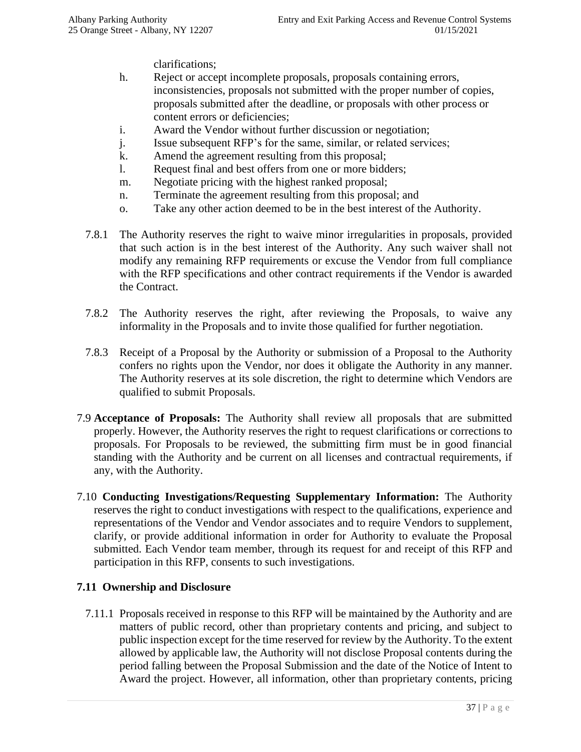clarifications;

- h. Reject or accept incomplete proposals, proposals containing errors, inconsistencies, proposals not submitted with the proper number of copies, proposals submitted after the deadline, or proposals with other process or content errors or deficiencies;
- i. Award the Vendor without further discussion or negotiation;
- j. Issue subsequent RFP's for the same, similar, or related services;
- k. Amend the agreement resulting from this proposal;
- l. Request final and best offers from one or more bidders;
- m. Negotiate pricing with the highest ranked proposal;
- n. Terminate the agreement resulting from this proposal; and
- o. Take any other action deemed to be in the best interest of the Authority.
- 7.8.1 The Authority reserves the right to waive minor irregularities in proposals, provided that such action is in the best interest of the Authority. Any such waiver shall not modify any remaining RFP requirements or excuse the Vendor from full compliance with the RFP specifications and other contract requirements if the Vendor is awarded the Contract.
- 7.8.2 The Authority reserves the right, after reviewing the Proposals, to waive any informality in the Proposals and to invite those qualified for further negotiation.
- 7.8.3 Receipt of a Proposal by the Authority or submission of a Proposal to the Authority confers no rights upon the Vendor, nor does it obligate the Authority in any manner. The Authority reserves at its sole discretion, the right to determine which Vendors are qualified to submit Proposals.
- 7.9 **Acceptance of Proposals:** The Authority shall review all proposals that are submitted properly. However, the Authority reserves the right to request clarifications or corrections to proposals. For Proposals to be reviewed, the submitting firm must be in good financial standing with the Authority and be current on all licenses and contractual requirements, if any, with the Authority.
- 7.10 **Conducting Investigations/Requesting Supplementary Information:** The Authority reserves the right to conduct investigations with respect to the qualifications, experience and representations of the Vendor and Vendor associates and to require Vendors to supplement, clarify, or provide additional information in order for Authority to evaluate the Proposal submitted. Each Vendor team member, through its request for and receipt of this RFP and participation in this RFP, consents to such investigations.

#### **7.11 Ownership and Disclosure**

7.11.1 Proposals received in response to this RFP will be maintained by the Authority and are matters of public record, other than proprietary contents and pricing, and subject to public inspection except for the time reserved for review by the Authority. To the extent allowed by applicable law, the Authority will not disclose Proposal contents during the period falling between the Proposal Submission and the date of the Notice of Intent to Award the project. However, all information, other than proprietary contents, pricing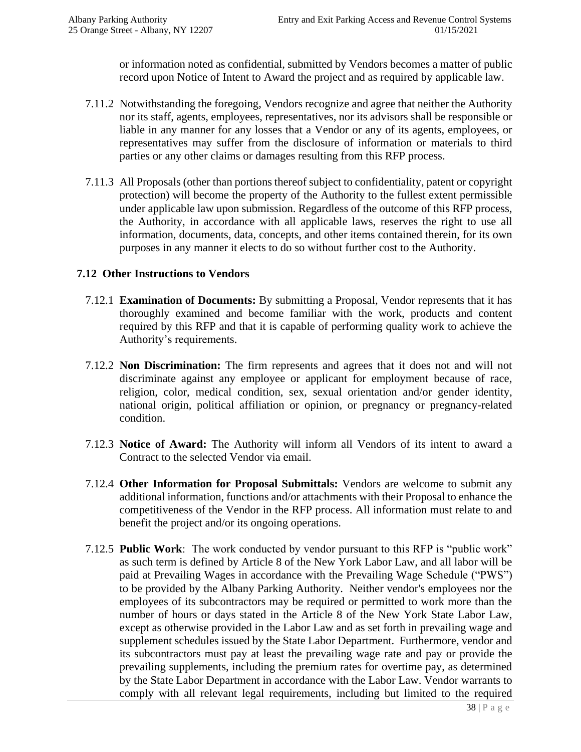or information noted as confidential, submitted by Vendors becomes a matter of public record upon Notice of Intent to Award the project and as required by applicable law.

- 7.11.2 Notwithstanding the foregoing, Vendors recognize and agree that neither the Authority nor its staff, agents, employees, representatives, nor its advisors shall be responsible or liable in any manner for any losses that a Vendor or any of its agents, employees, or representatives may suffer from the disclosure of information or materials to third parties or any other claims or damages resulting from this RFP process.
- 7.11.3 All Proposals (other than portions thereof subject to confidentiality, patent or copyright protection) will become the property of the Authority to the fullest extent permissible under applicable law upon submission. Regardless of the outcome of this RFP process, the Authority, in accordance with all applicable laws, reserves the right to use all information, documents, data, concepts, and other items contained therein, for its own purposes in any manner it elects to do so without further cost to the Authority.

#### **7.12 Other Instructions to Vendors**

- 7.12.1 **Examination of Documents:** By submitting a Proposal, Vendor represents that it has thoroughly examined and become familiar with the work, products and content required by this RFP and that it is capable of performing quality work to achieve the Authority's requirements.
- 7.12.2 **Non Discrimination:** The firm represents and agrees that it does not and will not discriminate against any employee or applicant for employment because of race, religion, color, medical condition, sex, sexual orientation and/or gender identity, national origin, political affiliation or opinion, or pregnancy or pregnancy-related condition.
- 7.12.3 **Notice of Award:** The Authority will inform all Vendors of its intent to award a Contract to the selected Vendor via email.
- 7.12.4 **Other Information for Proposal Submittals:** Vendors are welcome to submit any additional information, functions and/or attachments with their Proposal to enhance the competitiveness of the Vendor in the RFP process. All information must relate to and benefit the project and/or its ongoing operations.
- 7.12.5 **Public Work**: The work conducted by vendor pursuant to this RFP is "public work" as such term is defined by Article 8 of the New York Labor Law, and all labor will be paid at Prevailing Wages in accordance with the Prevailing Wage Schedule ("PWS") to be provided by the Albany Parking Authority. Neither vendor's employees nor the employees of its subcontractors may be required or permitted to work more than the number of hours or days stated in the Article 8 of the New York State Labor Law, except as otherwise provided in the Labor Law and as set forth in prevailing wage and supplement schedules issued by the State Labor Department. Furthermore, vendor and its subcontractors must pay at least the prevailing wage rate and pay or provide the prevailing supplements, including the premium rates for overtime pay, as determined by the State Labor Department in accordance with the Labor Law. Vendor warrants to comply with all relevant legal requirements, including but limited to the required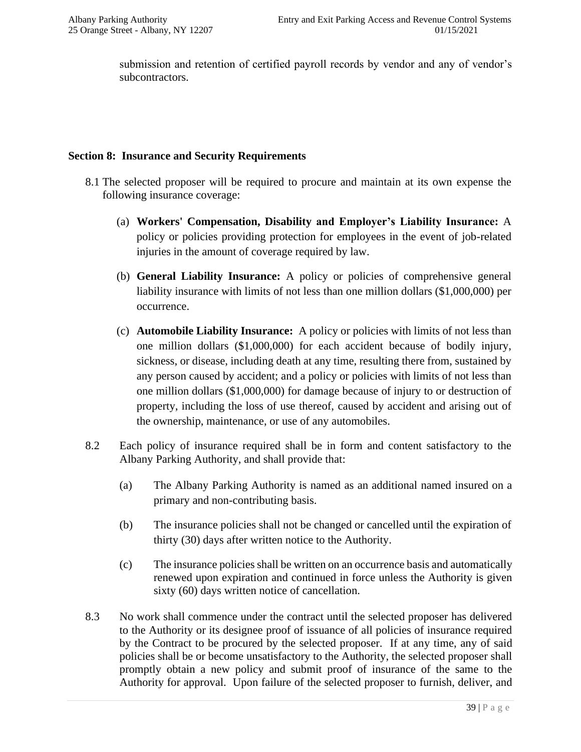submission and retention of certified payroll records by vendor and any of vendor's subcontractors.

#### **Section 8: Insurance and Security Requirements**

- 8.1 The selected proposer will be required to procure and maintain at its own expense the following insurance coverage:
	- (a) **Workers' Compensation, Disability and Employer's Liability Insurance:** A policy or policies providing protection for employees in the event of job-related injuries in the amount of coverage required by law.
	- (b) **General Liability Insurance:** A policy or policies of comprehensive general liability insurance with limits of not less than one million dollars (\$1,000,000) per occurrence.
	- (c) **Automobile Liability Insurance:** A policy or policies with limits of not less than one million dollars (\$1,000,000) for each accident because of bodily injury, sickness, or disease, including death at any time, resulting there from, sustained by any person caused by accident; and a policy or policies with limits of not less than one million dollars (\$1,000,000) for damage because of injury to or destruction of property, including the loss of use thereof, caused by accident and arising out of the ownership, maintenance, or use of any automobiles.
- 8.2 Each policy of insurance required shall be in form and content satisfactory to the Albany Parking Authority, and shall provide that:
	- (a) The Albany Parking Authority is named as an additional named insured on a primary and non-contributing basis.
	- (b) The insurance policies shall not be changed or cancelled until the expiration of thirty (30) days after written notice to the Authority.
	- (c) The insurance policies shall be written on an occurrence basis and automatically renewed upon expiration and continued in force unless the Authority is given sixty (60) days written notice of cancellation.
- 8.3 No work shall commence under the contract until the selected proposer has delivered to the Authority or its designee proof of issuance of all policies of insurance required by the Contract to be procured by the selected proposer. If at any time, any of said policies shall be or become unsatisfactory to the Authority, the selected proposer shall promptly obtain a new policy and submit proof of insurance of the same to the Authority for approval. Upon failure of the selected proposer to furnish, deliver, and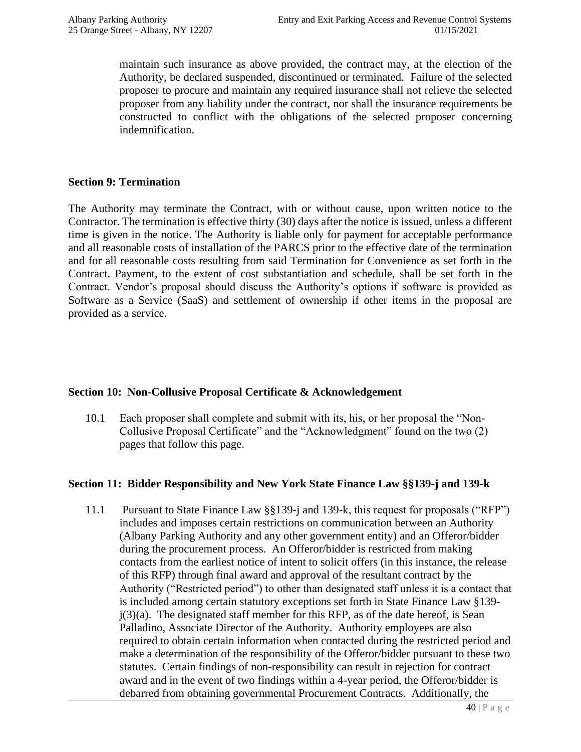maintain such insurance as above provided, the contract may, at the election of the Authority, be declared suspended, discontinued or terminated. Failure of the selected proposer to procure and maintain any required insurance shall not relieve the selected proposer from any liability under the contract, nor shall the insurance requirements be constructed to conflict with the obligations of the selected proposer concerning indemnification.

#### **Section 9: Termination**

The Authority may terminate the Contract, with or without cause, upon written notice to the Contractor. The termination is effective thirty (30) days after the notice is issued, unless a different time is given in the notice. The Authority is liable only for payment for acceptable performance and all reasonable costs of installation of the PARCS prior to the effective date of the termination and for all reasonable costs resulting from said Termination for Convenience as set forth in the Contract. Payment, to the extent of cost substantiation and schedule, shall be set forth in the Contract. Vendor's proposal should discuss the Authority's options if software is provided as Software as a Service (SaaS) and settlement of ownership if other items in the proposal are provided as a service.

#### **Section 10: Non-Collusive Proposal Certificate & Acknowledgement**

10.1 Each proposer shall complete and submit with its, his, or her proposal the "Non-Collusive Proposal Certificate" and the "Acknowledgment" found on the two (2) pages that follow this page.

#### **Section 11: Bidder Responsibility and New York State Finance Law §§139-j and 139-k**

11.1 Pursuant to State Finance Law §§139-j and 139-k, this request for proposals ("RFP") includes and imposes certain restrictions on communication between an Authority (Albany Parking Authority and any other government entity) and an Offeror/bidder during the procurement process. An Offeror/bidder is restricted from making contacts from the earliest notice of intent to solicit offers (in this instance, the release of this RFP) through final award and approval of the resultant contract by the Authority ("Restricted period") to other than designated staff unless it is a contact that is included among certain statutory exceptions set forth in State Finance Law §139  $j(3)(a)$ . The designated staff member for this RFP, as of the date hereof, is Sean Palladino, Associate Director of the Authority. Authority employees are also required to obtain certain information when contacted during the restricted period and make a determination of the responsibility of the Offeror/bidder pursuant to these two statutes. Certain findings of non-responsibility can result in rejection for contract award and in the event of two findings within a 4-year period, the Offeror/bidder is debarred from obtaining governmental Procurement Contracts. Additionally, the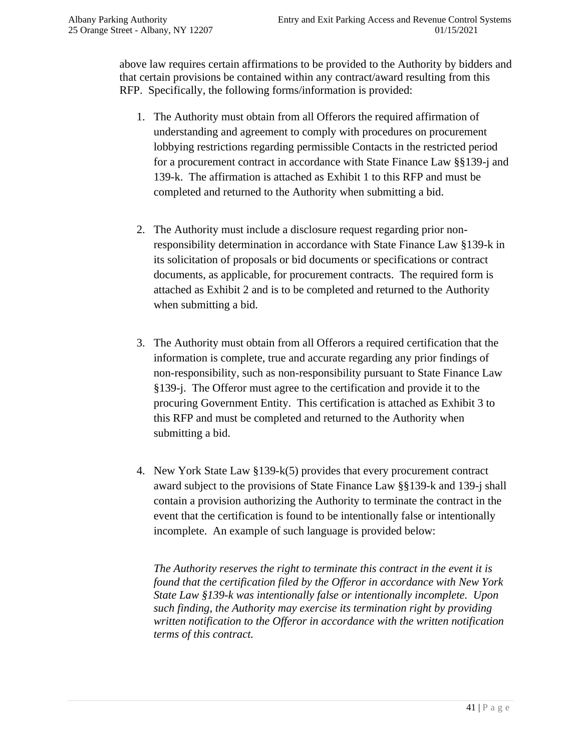above law requires certain affirmations to be provided to the Authority by bidders and that certain provisions be contained within any contract/award resulting from this RFP. Specifically, the following forms/information is provided:

- 1. The Authority must obtain from all Offerors the required affirmation of understanding and agreement to comply with procedures on procurement lobbying restrictions regarding permissible Contacts in the restricted period for a procurement contract in accordance with State Finance Law §§139-j and 139-k. The affirmation is attached as Exhibit 1 to this RFP and must be completed and returned to the Authority when submitting a bid.
- 2. The Authority must include a disclosure request regarding prior nonresponsibility determination in accordance with State Finance Law §139-k in its solicitation of proposals or bid documents or specifications or contract documents, as applicable, for procurement contracts. The required form is attached as Exhibit 2 and is to be completed and returned to the Authority when submitting a bid.
- 3. The Authority must obtain from all Offerors a required certification that the information is complete, true and accurate regarding any prior findings of non-responsibility, such as non-responsibility pursuant to State Finance Law §139-j. The Offeror must agree to the certification and provide it to the procuring Government Entity. This certification is attached as Exhibit 3 to this RFP and must be completed and returned to the Authority when submitting a bid.
- 4. New York State Law §139-k(5) provides that every procurement contract award subject to the provisions of State Finance Law §§139-k and 139-j shall contain a provision authorizing the Authority to terminate the contract in the event that the certification is found to be intentionally false or intentionally incomplete. An example of such language is provided below:

*The Authority reserves the right to terminate this contract in the event it is found that the certification filed by the Offeror in accordance with New York State Law §139-k was intentionally false or intentionally incomplete. Upon such finding, the Authority may exercise its termination right by providing written notification to the Offeror in accordance with the written notification terms of this contract.*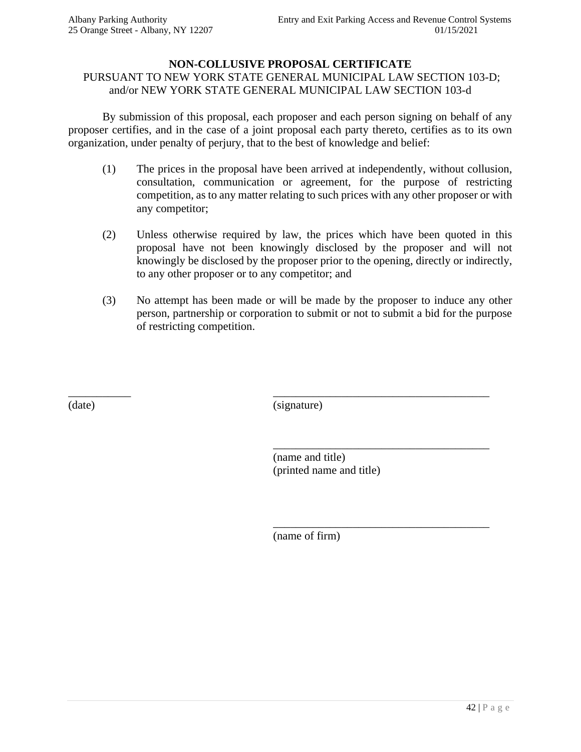#### **NON-COLLUSIVE PROPOSAL CERTIFICATE**

#### PURSUANT TO NEW YORK STATE GENERAL MUNICIPAL LAW SECTION 103-D; and/or NEW YORK STATE GENERAL MUNICIPAL LAW SECTION 103-d

By submission of this proposal, each proposer and each person signing on behalf of any proposer certifies, and in the case of a joint proposal each party thereto, certifies as to its own organization, under penalty of perjury, that to the best of knowledge and belief:

- (1) The prices in the proposal have been arrived at independently, without collusion, consultation, communication or agreement, for the purpose of restricting competition, as to any matter relating to such prices with any other proposer or with any competitor;
- (2) Unless otherwise required by law, the prices which have been quoted in this proposal have not been knowingly disclosed by the proposer and will not knowingly be disclosed by the proposer prior to the opening, directly or indirectly, to any other proposer or to any competitor; and
- (3) No attempt has been made or will be made by the proposer to induce any other person, partnership or corporation to submit or not to submit a bid for the purpose of restricting competition.

(date) (signature)

\_\_\_\_\_\_\_\_\_\_\_ \_\_\_\_\_\_\_\_\_\_\_\_\_\_\_\_\_\_\_\_\_\_\_\_\_\_\_\_\_\_\_\_\_\_\_\_\_\_

(name and title) (printed name and title)

\_\_\_\_\_\_\_\_\_\_\_\_\_\_\_\_\_\_\_\_\_\_\_\_\_\_\_\_\_\_\_\_\_\_\_\_\_\_

\_\_\_\_\_\_\_\_\_\_\_\_\_\_\_\_\_\_\_\_\_\_\_\_\_\_\_\_\_\_\_\_\_\_\_\_\_\_

(name of firm)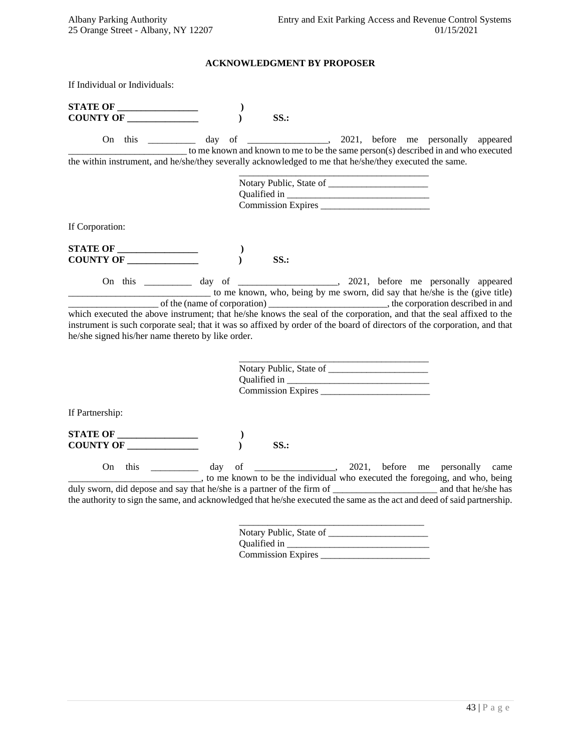#### **ACKNOWLEDGMENT BY PROPOSER**

If Individual or Individuals:

| <b>STATE OF _________________</b><br><b>COUNTY OF</b>                                                                                                                                                                                                                                                  |  | SS.                     |  |                                                                                                                                                                         |
|--------------------------------------------------------------------------------------------------------------------------------------------------------------------------------------------------------------------------------------------------------------------------------------------------------|--|-------------------------|--|-------------------------------------------------------------------------------------------------------------------------------------------------------------------------|
| On this                                                                                                                                                                                                                                                                                                |  |                         |  | day of _________________, 2021, before me personally appeared                                                                                                           |
| the within instrument, and he/she/they severally acknowledged to me that he/she/they executed the same.                                                                                                                                                                                                |  |                         |  | to me known and known to me to be the same person(s) described in and who executed                                                                                      |
|                                                                                                                                                                                                                                                                                                        |  |                         |  |                                                                                                                                                                         |
|                                                                                                                                                                                                                                                                                                        |  |                         |  |                                                                                                                                                                         |
|                                                                                                                                                                                                                                                                                                        |  |                         |  |                                                                                                                                                                         |
| If Corporation:                                                                                                                                                                                                                                                                                        |  |                         |  |                                                                                                                                                                         |
|                                                                                                                                                                                                                                                                                                        |  |                         |  |                                                                                                                                                                         |
|                                                                                                                                                                                                                                                                                                        |  | SS.                     |  |                                                                                                                                                                         |
|                                                                                                                                                                                                                                                                                                        |  |                         |  | On this ___________ day of _______________________, 2021, before me personally appeared<br>to me known, who, being by me sworn, did say that he/she is the (give title) |
| which executed the above instrument; that he/she knows the seal of the corporation, and that the seal affixed to the<br>instrument is such corporate seal; that it was so affixed by order of the board of directors of the corporation, and that<br>he/she signed his/her name thereto by like order. |  |                         |  |                                                                                                                                                                         |
|                                                                                                                                                                                                                                                                                                        |  |                         |  |                                                                                                                                                                         |
|                                                                                                                                                                                                                                                                                                        |  |                         |  |                                                                                                                                                                         |
|                                                                                                                                                                                                                                                                                                        |  |                         |  |                                                                                                                                                                         |
| If Partnership:                                                                                                                                                                                                                                                                                        |  |                         |  |                                                                                                                                                                         |
| $\begin{tabular}{ c c c } \hline \textbf{STATE OF} & \textbf{\textcolor{blue}{\textbf{---}}} & \textbf{\textcolor{blue}{\textbf{---}}} \\ \hline \end{tabular}$                                                                                                                                        |  |                         |  |                                                                                                                                                                         |
| <b>COUNTY OF</b>                                                                                                                                                                                                                                                                                       |  | SS.                     |  |                                                                                                                                                                         |
|                                                                                                                                                                                                                                                                                                        |  |                         |  | On this ___________ day of _______________, 2021, before me personally came<br>______, to me known to be the individual who executed the foregoing, and who, being      |
| the authority to sign the same, and acknowledged that he/she executed the same as the act and deed of said partnership.                                                                                                                                                                                |  |                         |  |                                                                                                                                                                         |
|                                                                                                                                                                                                                                                                                                        |  | Notary Public, State of |  |                                                                                                                                                                         |

| Qualified in              |  |
|---------------------------|--|
| <b>Commission Expires</b> |  |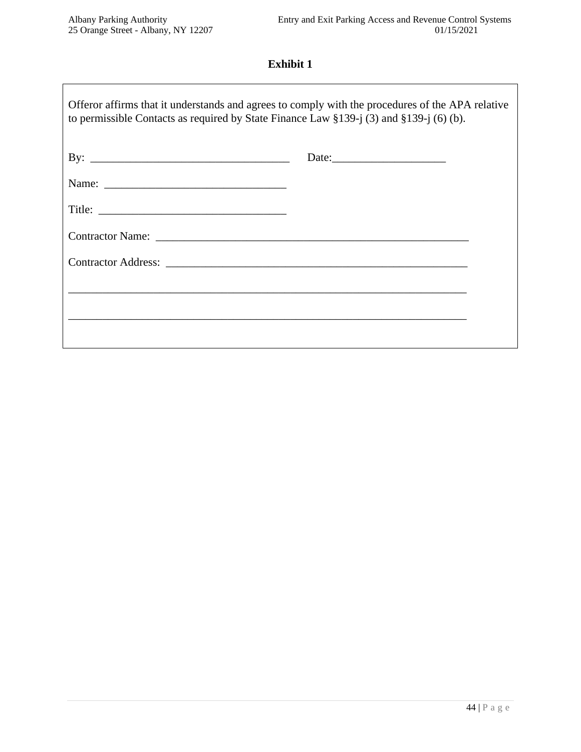## **Exhibit 1**

| Offeror affirms that it understands and agrees to comply with the procedures of the APA relative<br>to permissible Contacts as required by State Finance Law $\S 139 - i(3)$ and $\S 139 - i(6)$ (b). |  |  |  |
|-------------------------------------------------------------------------------------------------------------------------------------------------------------------------------------------------------|--|--|--|
|                                                                                                                                                                                                       |  |  |  |
|                                                                                                                                                                                                       |  |  |  |
|                                                                                                                                                                                                       |  |  |  |
|                                                                                                                                                                                                       |  |  |  |
|                                                                                                                                                                                                       |  |  |  |
| ,我们也不能在这里的时候,我们也不能在这里的时候,我们也不能会在这里的时候,我们也不能会在这里的时候,我们也不能会在这里的时候,我们也不能会在这里的时候,我们也不                                                                                                                     |  |  |  |
|                                                                                                                                                                                                       |  |  |  |
|                                                                                                                                                                                                       |  |  |  |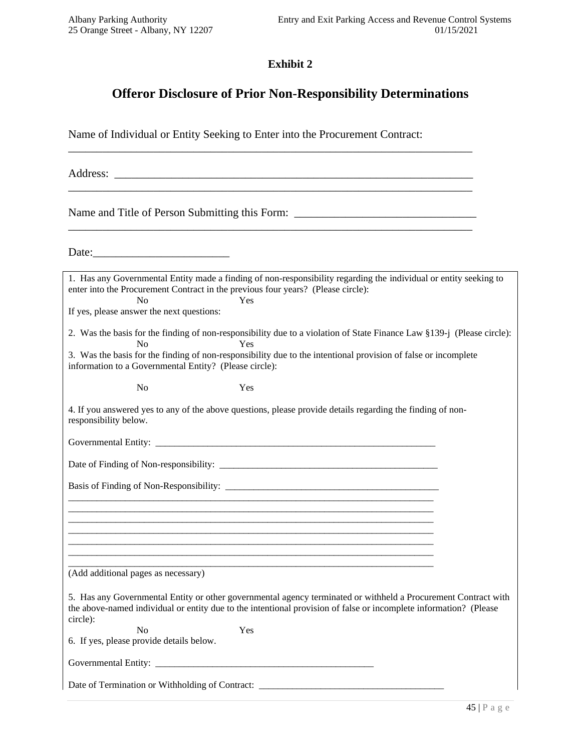#### **Exhibit 2**

## **Offeror Disclosure of Prior Non-Responsibility Determinations**

Name of Individual or Entity Seeking to Enter into the Procurement Contract:

\_\_\_\_\_\_\_\_\_\_\_\_\_\_\_\_\_\_\_\_\_\_\_\_\_\_\_\_\_\_\_\_\_\_\_\_\_\_\_\_\_\_\_\_\_\_\_\_\_\_\_\_\_\_\_\_\_\_\_\_\_\_\_\_\_\_\_\_\_\_\_

Address: \_\_\_\_\_\_\_\_\_\_\_\_\_\_\_\_\_\_\_\_\_\_\_\_\_\_\_\_\_\_\_\_\_\_\_\_\_\_\_\_\_\_\_\_\_\_\_\_\_\_\_\_\_\_\_\_\_\_\_\_\_\_\_

Name and Title of Person Submitting this Form: \_\_\_\_\_\_\_\_\_\_\_\_\_\_\_\_\_\_\_\_\_\_\_\_\_\_\_\_\_\_\_\_\_\_

Date:\_\_\_\_\_\_\_\_\_\_\_\_\_\_\_\_\_\_\_\_\_\_\_\_

| 1. Has any Governmental Entity made a finding of non-responsibility regarding the individual or entity seeking to<br>enter into the Procurement Contract in the previous four years? (Please circle):<br>No<br>Yes<br>If yes, please answer the next questions:                                                 |  |  |  |
|-----------------------------------------------------------------------------------------------------------------------------------------------------------------------------------------------------------------------------------------------------------------------------------------------------------------|--|--|--|
| 2. Was the basis for the finding of non-responsibility due to a violation of State Finance Law §139-j (Please circle):<br>No<br>Yes<br>3. Was the basis for the finding of non-responsibility due to the intentional provision of false or incomplete<br>information to a Governmental Entity? (Please circle): |  |  |  |
| N <sub>o</sub><br>Yes                                                                                                                                                                                                                                                                                           |  |  |  |
| 4. If you answered yes to any of the above questions, please provide details regarding the finding of non-<br>responsibility below.                                                                                                                                                                             |  |  |  |
|                                                                                                                                                                                                                                                                                                                 |  |  |  |
|                                                                                                                                                                                                                                                                                                                 |  |  |  |
|                                                                                                                                                                                                                                                                                                                 |  |  |  |
| <u> 1989 - Johann Barn, mars ann an t-Amhain ann an t-Amhain ann an t-Amhain ann an t-Amhain an t-Amhain an t-Amh</u>                                                                                                                                                                                           |  |  |  |
|                                                                                                                                                                                                                                                                                                                 |  |  |  |
|                                                                                                                                                                                                                                                                                                                 |  |  |  |
| (Add additional pages as necessary)                                                                                                                                                                                                                                                                             |  |  |  |
| 5. Has any Governmental Entity or other governmental agency terminated or withheld a Procurement Contract with<br>the above-named individual or entity due to the intentional provision of false or incomplete information? (Please<br>circle):                                                                 |  |  |  |
| Yes<br>N <sub>0</sub><br>6. If yes, please provide details below.                                                                                                                                                                                                                                               |  |  |  |
|                                                                                                                                                                                                                                                                                                                 |  |  |  |
|                                                                                                                                                                                                                                                                                                                 |  |  |  |
| Date of Termination or Withholding of Contract: _________________________________                                                                                                                                                                                                                               |  |  |  |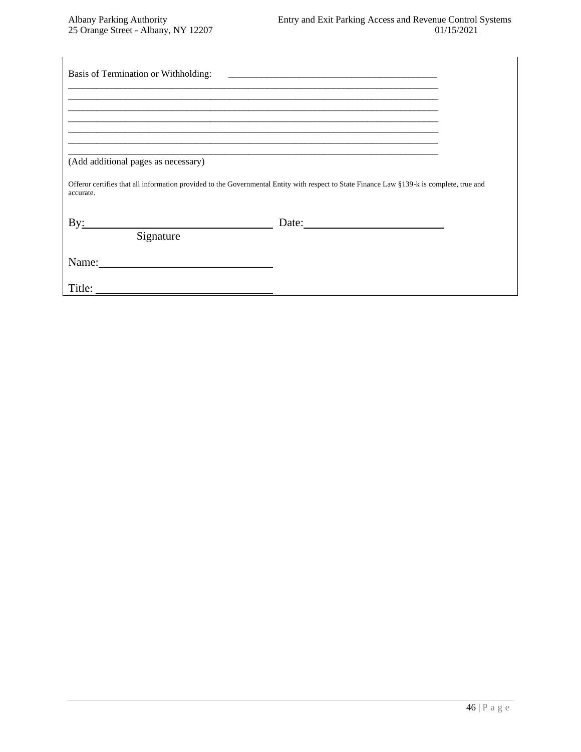| (Add additional pages as necessary) |                                                                                                                                           |  |
|-------------------------------------|-------------------------------------------------------------------------------------------------------------------------------------------|--|
| accurate.                           | Offeror certifies that all information provided to the Governmental Entity with respect to State Finance Law §139-k is complete, true and |  |
| By:<br>Signature                    | Date: $\qquad \qquad$                                                                                                                     |  |
| Name: 2008. [1] Name:               |                                                                                                                                           |  |
| Title:                              |                                                                                                                                           |  |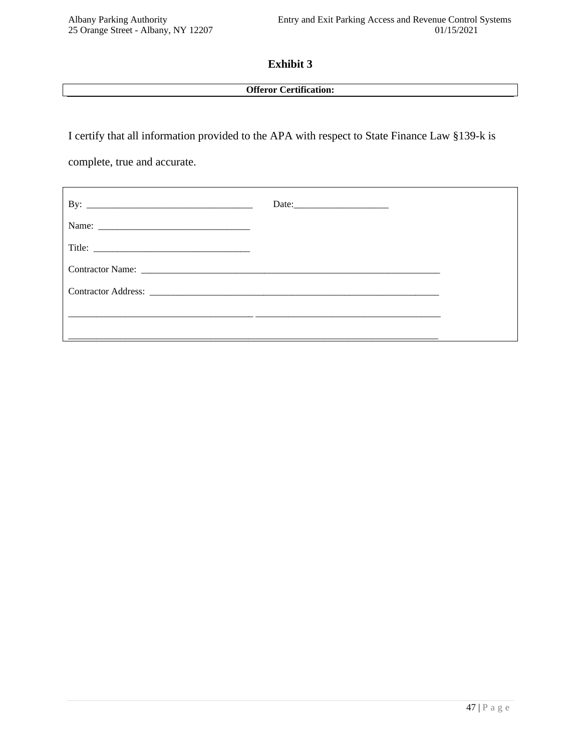#### **Exhibit 3**

#### **Offeror Certification:**

I certify that all information provided to the APA with respect to State Finance Law §139-k is

complete, true and accurate.

| Date: |  |
|-------|--|
|       |  |
|       |  |
|       |  |
|       |  |
|       |  |
|       |  |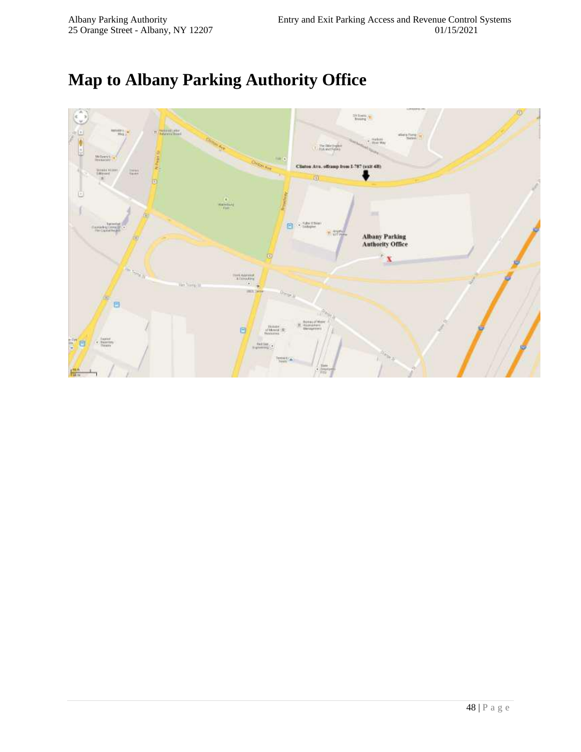# **Map to Albany Parking Authority Office**

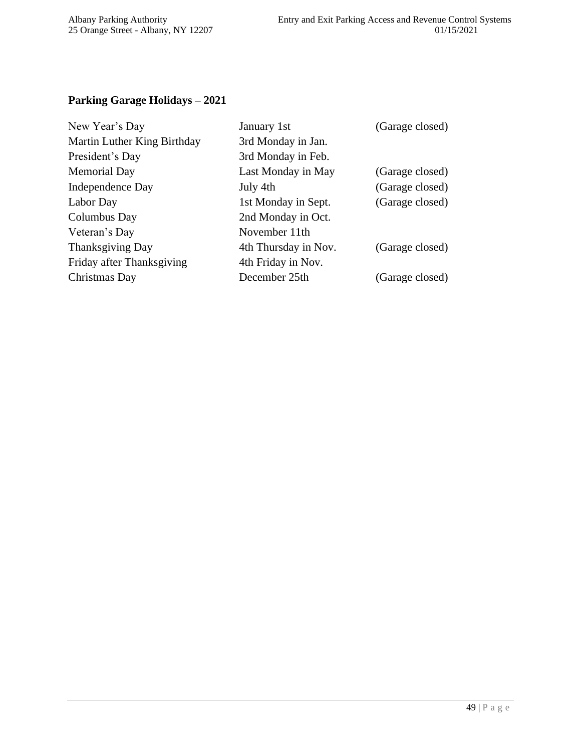## **Parking Garage Holidays – 2021**

| January 1st          | (Garage closed) |
|----------------------|-----------------|
| 3rd Monday in Jan.   |                 |
| 3rd Monday in Feb.   |                 |
| Last Monday in May   | (Garage closed) |
| July 4th             | (Garage closed) |
| 1st Monday in Sept.  | (Garage closed) |
| 2nd Monday in Oct.   |                 |
| November 11th        |                 |
| 4th Thursday in Nov. | (Garage closed) |
| 4th Friday in Nov.   |                 |
| December 25th        | (Garage closed) |
|                      |                 |